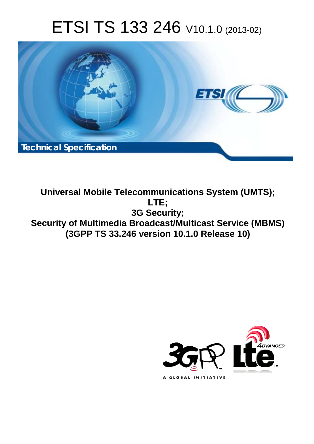# ETSI TS 133 246 V10.1.0 (2013-02)



**Universal Mobile Telecommunications System (UMTS); LTE; 3G Security; Security of Multimedia Broadcast/Multicast Service (MBMS) (3GPP TS 33.246 version 10.1.0 Release 10)** 

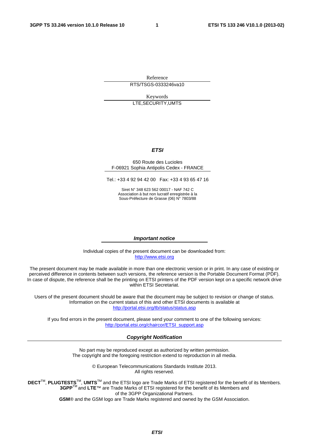Reference RTS/TSGS-0333246va10

Keywords LTE,SECURITY,UMTS

#### *ETSI*

#### 650 Route des Lucioles F-06921 Sophia Antipolis Cedex - FRANCE

Tel.: +33 4 92 94 42 00 Fax: +33 4 93 65 47 16

Siret N° 348 623 562 00017 - NAF 742 C Association à but non lucratif enregistrée à la Sous-Préfecture de Grasse (06) N° 7803/88

#### *Important notice*

Individual copies of the present document can be downloaded from: [http://www.etsi.org](http://www.etsi.org/)

The present document may be made available in more than one electronic version or in print. In any case of existing or perceived difference in contents between such versions, the reference version is the Portable Document Format (PDF). In case of dispute, the reference shall be the printing on ETSI printers of the PDF version kept on a specific network drive within ETSI Secretariat.

Users of the present document should be aware that the document may be subject to revision or change of status. Information on the current status of this and other ETSI documents is available at <http://portal.etsi.org/tb/status/status.asp>

If you find errors in the present document, please send your comment to one of the following services: [http://portal.etsi.org/chaircor/ETSI\\_support.asp](http://portal.etsi.org/chaircor/ETSI_support.asp)

#### *Copyright Notification*

No part may be reproduced except as authorized by written permission. The copyright and the foregoing restriction extend to reproduction in all media.

> © European Telecommunications Standards Institute 2013. All rights reserved.

DECT<sup>™</sup>, PLUGTESTS<sup>™</sup>, UMTS<sup>™</sup> and the ETSI logo are Trade Marks of ETSI registered for the benefit of its Members. **3GPP**TM and **LTE**™ are Trade Marks of ETSI registered for the benefit of its Members and of the 3GPP Organizational Partners.

**GSM**® and the GSM logo are Trade Marks registered and owned by the GSM Association.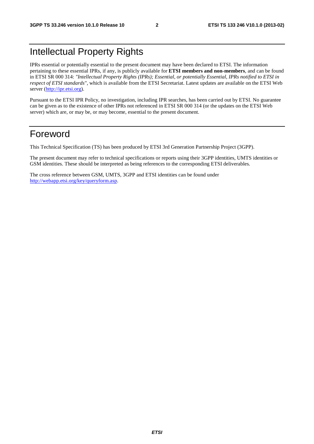## Intellectual Property Rights

IPRs essential or potentially essential to the present document may have been declared to ETSI. The information pertaining to these essential IPRs, if any, is publicly available for **ETSI members and non-members**, and can be found in ETSI SR 000 314: *"Intellectual Property Rights (IPRs); Essential, or potentially Essential, IPRs notified to ETSI in respect of ETSI standards"*, which is available from the ETSI Secretariat. Latest updates are available on the ETSI Web server ([http://ipr.etsi.org\)](http://webapp.etsi.org/IPR/home.asp).

Pursuant to the ETSI IPR Policy, no investigation, including IPR searches, has been carried out by ETSI. No guarantee can be given as to the existence of other IPRs not referenced in ETSI SR 000 314 (or the updates on the ETSI Web server) which are, or may be, or may become, essential to the present document.

## Foreword

This Technical Specification (TS) has been produced by ETSI 3rd Generation Partnership Project (3GPP).

The present document may refer to technical specifications or reports using their 3GPP identities, UMTS identities or GSM identities. These should be interpreted as being references to the corresponding ETSI deliverables.

The cross reference between GSM, UMTS, 3GPP and ETSI identities can be found under [http://webapp.etsi.org/key/queryform.asp.](http://webapp.etsi.org/key/queryform.asp)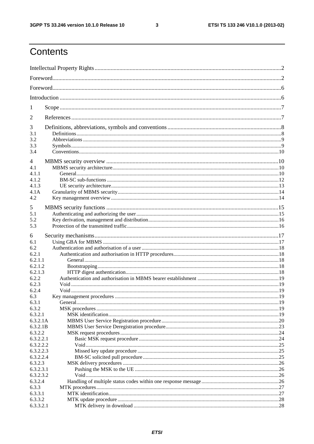$\mathbf{3}$ 

## Contents

| 1                   |  |  |  |
|---------------------|--|--|--|
| 2                   |  |  |  |
| 3<br>3.1<br>3.2     |  |  |  |
| 3.3<br>3.4          |  |  |  |
| $\overline{4}$      |  |  |  |
| 4.1                 |  |  |  |
| 4.1.1               |  |  |  |
| 4.1.2<br>4.1.3      |  |  |  |
| 4.1A                |  |  |  |
| 4.2                 |  |  |  |
|                     |  |  |  |
| 5                   |  |  |  |
| 5.1                 |  |  |  |
| 5.2<br>5.3          |  |  |  |
|                     |  |  |  |
| 6                   |  |  |  |
| 6.1                 |  |  |  |
| 6.2                 |  |  |  |
| 6.2.1               |  |  |  |
| 6.2.1.1<br>6.2.1.2  |  |  |  |
| 6.2.1.3             |  |  |  |
| 6.2.2               |  |  |  |
| 6.2.3               |  |  |  |
| 6.2.4               |  |  |  |
| 6.3                 |  |  |  |
| 6.3.1               |  |  |  |
| 6.3.2               |  |  |  |
| 6.3.2.1             |  |  |  |
| 6.3.2.1A            |  |  |  |
| 6.3.2.1B<br>6.3.2.2 |  |  |  |
| 6.3.2.2.1           |  |  |  |
| 6.3.2.2.2           |  |  |  |
| 6.3.2.2.3           |  |  |  |
| 6.3.2.2.4           |  |  |  |
| 6.3.2.3             |  |  |  |
| 6.3.2.3.1           |  |  |  |
| 6.3.2.3.2           |  |  |  |
| 6.3.2.4             |  |  |  |
| 6.3.3<br>6.3.3.1    |  |  |  |
| 6.3.3.2             |  |  |  |
| 6.3.3.2.1           |  |  |  |
|                     |  |  |  |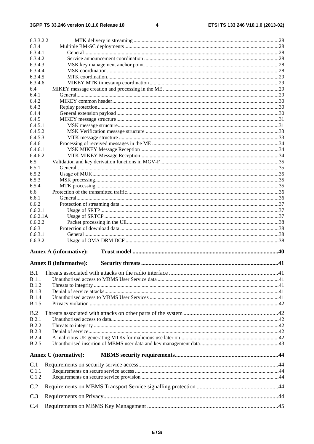$\overline{\mathbf{4}}$ 

| 6.3.3.2.2    |                               |  |
|--------------|-------------------------------|--|
| 6.3.4        |                               |  |
| 6.3.4.1      |                               |  |
| 6.3.4.2      |                               |  |
| 6.3.4.3      |                               |  |
| 6.3.4.4      |                               |  |
| 6.3.4.5      |                               |  |
| 6.3.4.6      |                               |  |
| 6.4          |                               |  |
| 6.4.1        |                               |  |
| 6.4.2        |                               |  |
| 6.4.3        |                               |  |
| 6.4.4        |                               |  |
| 6.4.5        |                               |  |
| 6.4.5.1      |                               |  |
| 6.4.5.2      |                               |  |
|              |                               |  |
| 6.4.5.3      |                               |  |
| 6.4.6        |                               |  |
| 6.4.6.1      |                               |  |
| 6.4.6.2      |                               |  |
| 6.5          |                               |  |
| 6.5.1        |                               |  |
| 6.5.2        |                               |  |
| 6.5.3        |                               |  |
| 6.5.4        |                               |  |
| 6.6          |                               |  |
| 6.6.1        |                               |  |
| 6.6.2        |                               |  |
| 6.6.2.1      |                               |  |
| 6.6.2.1A     |                               |  |
| 6.6.2.2      |                               |  |
| 6.6.3        |                               |  |
| 6.6.3.1      |                               |  |
| 6.6.3.2      |                               |  |
|              | <b>Annex A (informative):</b> |  |
|              |                               |  |
|              | <b>Annex B</b> (informative): |  |
| B.1          |                               |  |
| B.1.1        |                               |  |
| B.1.2        |                               |  |
| B.1.3        |                               |  |
| <b>B.1.4</b> |                               |  |
| <b>B.1.5</b> |                               |  |
|              |                               |  |
| B.2          |                               |  |
| B.2.1        |                               |  |
| <b>B.2.2</b> |                               |  |
| B.2.3        |                               |  |
| <b>B.2.4</b> |                               |  |
| <b>B.2.5</b> |                               |  |
|              |                               |  |
|              | <b>Annex C</b> (normative):   |  |
| C.1          |                               |  |
| C.1.1        |                               |  |
| C.1.2        |                               |  |
| C.2          |                               |  |
| C.3          |                               |  |
| C.4          |                               |  |
|              |                               |  |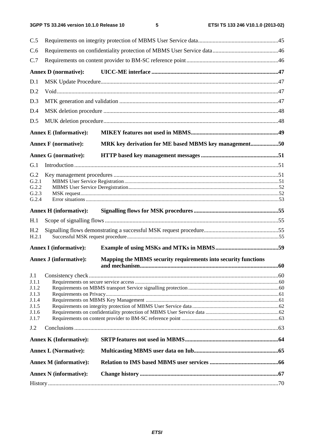| C.5                      |                               |                                                                |  |  |  |
|--------------------------|-------------------------------|----------------------------------------------------------------|--|--|--|
| C.6                      |                               |                                                                |  |  |  |
| C.7                      |                               |                                                                |  |  |  |
|                          | <b>Annex D</b> (normative):   |                                                                |  |  |  |
| D.1                      |                               |                                                                |  |  |  |
| D.2                      |                               |                                                                |  |  |  |
| D.3                      |                               |                                                                |  |  |  |
| D.4                      |                               |                                                                |  |  |  |
| D.5                      |                               |                                                                |  |  |  |
|                          | <b>Annex E (Informative):</b> |                                                                |  |  |  |
|                          | <b>Annex F</b> (normative):   | MRK key derivation for ME based MBMS key management50          |  |  |  |
|                          | <b>Annex G (normative):</b>   |                                                                |  |  |  |
|                          |                               |                                                                |  |  |  |
| G.1                      |                               |                                                                |  |  |  |
| G.2<br>G.2.1             |                               |                                                                |  |  |  |
| G.2.2                    |                               |                                                                |  |  |  |
| G.2.3<br>G.2.4           |                               |                                                                |  |  |  |
|                          |                               |                                                                |  |  |  |
|                          | <b>Annex H</b> (informative): |                                                                |  |  |  |
| H <sub>1</sub>           |                               |                                                                |  |  |  |
| H <sub>.2</sub><br>H.2.1 |                               |                                                                |  |  |  |
|                          | <b>Annex I</b> (informative): |                                                                |  |  |  |
|                          |                               |                                                                |  |  |  |
|                          | <b>Annex J (informative):</b> | Mapping the MBMS security requirements into security functions |  |  |  |
| J.1                      |                               |                                                                |  |  |  |
| J.1.1                    |                               |                                                                |  |  |  |
| J.1.2                    |                               |                                                                |  |  |  |
| J.1.3                    |                               |                                                                |  |  |  |
| J.1.4<br>J.1.5           |                               |                                                                |  |  |  |
| J.1.6                    |                               |                                                                |  |  |  |
| J.1.7                    |                               |                                                                |  |  |  |
| J.2                      |                               |                                                                |  |  |  |
|                          | <b>Annex K (Informative):</b> |                                                                |  |  |  |
|                          | <b>Annex L (Normative):</b>   |                                                                |  |  |  |
|                          | <b>Annex M</b> (informative): |                                                                |  |  |  |
|                          | <b>Annex N</b> (informative): |                                                                |  |  |  |
|                          |                               |                                                                |  |  |  |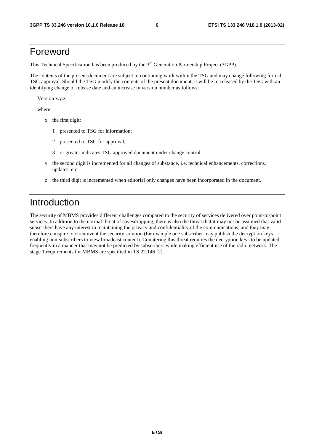## Foreword

This Technical Specification has been produced by the 3<sup>rd</sup> Generation Partnership Project (3GPP).

The contents of the present document are subject to continuing work within the TSG and may change following formal TSG approval. Should the TSG modify the contents of the present document, it will be re-released by the TSG with an identifying change of release date and an increase in version number as follows:

Version x.y.z

where:

- x the first digit:
	- 1 presented to TSG for information;
	- 2 presented to TSG for approval;
	- 3 or greater indicates TSG approved document under change control.
- y the second digit is incremented for all changes of substance, i.e. technical enhancements, corrections, updates, etc.
- z the third digit is incremented when editorial only changes have been incorporated in the document.

## Introduction

The security of MBMS provides different challenges compared to the security of services delivered over point-to-point services. In addition to the normal threat of eavesdropping, there is also the threat that it may not be assumed that valid subscribers have any interest in maintaining the privacy and confidentiality of the communications, and they may therefore conspire to circumvent the security solution (for example one subscriber may publish the decryption keys enabling non-subscribers to view broadcast content). Countering this threat requires the decryption keys to be updated frequently in a manner that may not be predicted by subscribers while making efficient use of the radio network. The stage 1 requirements for MBMS are specified in TS 22.146 [2].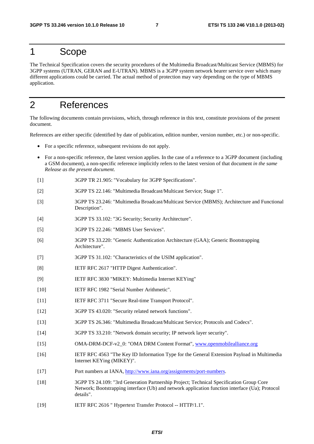## 1 Scope

The Technical Specification covers the security procedures of the Multimedia Broadcast/Multicast Service (MBMS) for 3GPP systems (UTRAN, GERAN and E-UTRAN). MBMS is a 3GPP system network bearer service over which many different applications could be carried. The actual method of protection may vary depending on the type of MBMS application.

## 2 References

The following documents contain provisions, which, through reference in this text, constitute provisions of the present document.

References are either specific (identified by date of publication, edition number, version number, etc.) or non-specific.

- For a specific reference, subsequent revisions do not apply.
- For a non-specific reference, the latest version applies. In the case of a reference to a 3GPP document (including a GSM document), a non-specific reference implicitly refers to the latest version of that document *in the same Release as the present document*.
- [1] 3GPP TR 21.905: "Vocabulary for 3GPP Specifications".
- [2] 3GPP TS 22.146: "Multimedia Broadcast/Multicast Service; Stage 1".
- [3] 3GPP TS 23.246: "Multimedia Broadcast/Multicast Service (MBMS); Architecture and Functional Description".
- [4] 3GPP TS 33.102: "3G Security; Security Architecture".
- [5] 3GPP TS 22.246: "MBMS User Services".
- [6] 3GPP TS 33.220: "Generic Authentication Architecture (GAA); Generic Bootstrapping Architecture".
- [7] 3GPP TS 31.102: "Characteristics of the USIM application".
- [8] IETF RFC 2617 "HTTP Digest Authentication".
- [9] IETF RFC 3830 "MIKEY: Multimedia Internet KEYing"
- [10] IETF RFC 1982 "Serial Number Arithmetic".
- [11] IETF RFC 3711 "Secure Real-time Transport Protocol".
- [12] 3GPP TS 43.020: "Security related network functions".
- [13] 3GPP TS 26.346: "Multimedia Broadcast/Multicast Service; Protocols and Codecs".
- [14] 3GPP TS 33.210: "Network domain security; IP network layer security".
- [15] OMA-DRM-DCF-v2\_0: "OMA DRM Content Format", [www.openmobilealliance.org](http://www.openmobilealliance.org/)
- [16] IETF RFC 4563 "The Key ID Information Type for the General Extension Payload in Multimedia Internet KEYing (MIKEY)".
- [17] Port numbers at IANA, [http://www.iana.org/assignments/port-numbers.](http://www.iana.org/assignments/port-numbers)
- [18] 3GPP TS 24.109: "3rd Generation Partnership Project; Technical Specification Group Core Network; Bootstrapping interface (Ub) and network application function interface (Ua); Protocol details".
- [19] IETF RFC 2616 " Hypertext Transfer Protocol -- HTTP/1.1".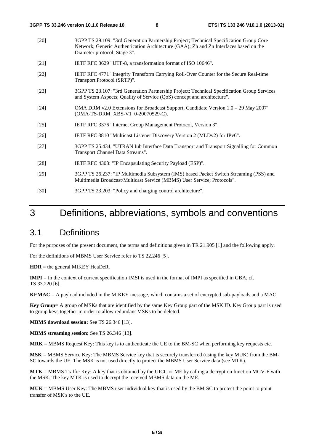- [20] 3GPP TS 29.109: "3rd Generation Partnership Project; Technical Specification Group Core Network; Generic Authentication Architecture (GAA); Zh and Zn Interfaces based on the Diameter protocol; Stage 3".
- [21] IETF RFC 3629 "UTF-8, a transformation format of ISO 10646".
- [22] IETF RFC 4771 "Integrity Transform Carrying Roll-Over Counter for the Secure Real-time Transport Protocol (SRTP)".
- [23] 3GPP TS 23.107: "3rd Generation Partnership Project; Technical Specification Group Services and System Aspects; Quality of Service (QoS) concept and architecture".
- [24] OMA DRM v2.0 Extensions for Broadcast Support, Candidate Version 1.0 29 May 2007' (OMA-TS-DRM\_XBS-V1\_0-20070529-C).
- [25] IETF RFC 3376 "Internet Group Management Protocol, Version 3".
- [26] IETF RFC 3810 "Multicast Listener Discovery Version 2 (MLDv2) for IPv6".
- [27] 3GPP TS 25.434, "UTRAN Iub Interface Data Transport and Transport Signalling for Common Transport Channel Data Streams".
- [28] IETF RFC 4303: "IP Encapsulating Security Payload (ESP)".
- [29] 3GPP TS 26.237: "IP Multimedia Subsystem (IMS) based Packet Switch Streaming (PSS) and Multimedia Broadcast/Multicast Service (MBMS) User Service; Protocols".
- [30] 3GPP TS 23.203: "Policy and charging control architecture".

## 3 Definitions, abbreviations, symbols and conventions

### 3.1 Definitions

For the purposes of the present document, the terms and definitions given in TR 21.905 [1] and the following apply.

For the definitions of MBMS User Service refer to TS 22.246 [5].

**HDR** = the general MIKEY HeaDeR.

**IMPI** = In the context of current specification IMSI is used in the format of IMPI as specified in GBA, cf. TS 33.220 [6].

**KEMAC** = A payload included in the MIKEY message, which contains a set of encrypted sub-payloads and a MAC.

**Key Group**= A group of MSKs that are identified by the same Key Group part of the MSK ID. Key Group part is used to group keys together in order to allow redundant MSKs to be deleted.

**MBMS download session:** See TS 26.346 [13].

**MBMS streaming session:** See TS 26.346 [13].

**MRK** = MBMS Request Key: This key is to authenticate the UE to the BM-SC when performing key requests etc.

**MSK** = MBMS Service Key: The MBMS Service key that is securely transferred (using the key MUK) from the BM-SC towards the UE. The MSK is not used directly to protect the MBMS User Service data (see MTK).

**MTK** = MBMS Traffic Key: A key that is obtained by the UICC or ME by calling a decryption function MGV-F with the MSK. The key MTK is used to decrypt the received MBMS data on the ME.

**MUK** = MBMS User Key: The MBMS user individual key that is used by the BM-SC to protect the point to point transfer of MSK's to the UE*.*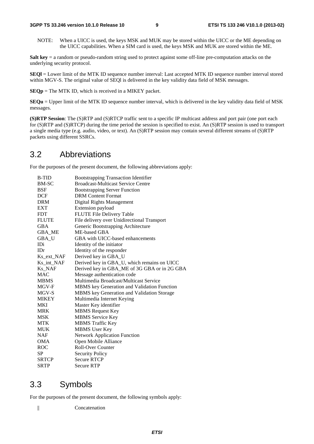NOTE: When a UICC is used, the keys MSK and MUK may be stored within the UICC or the ME depending on the UICC capabilities. When a SIM card is used, the keys MSK and MUK are stored within the ME.

**Salt key** = a random or pseudo-random string used to protect against some off-line pre-computation attacks on the underlying security protocol.

**SEQl** = Lower limit of the MTK ID sequence number interval: Last accepted MTK ID sequence number interval stored within MGV-S. The original value of SEQI is delivered in the key validity data field of MSK messages.

**SEQp** = The MTK ID, which is received in a MIKEY packet.

**SEQu** = Upper limit of the MTK ID sequence number interval, which is delivered in the key validity data field of MSK messages.

**(S)RTP Session**: The (S)RTP and (S)RTCP traffic sent to a specific IP multicast address and port pair (one port each for (S)RTP and (S)RTCP) during the time period the session is specified to exist. An (S)RTP session is used to transport a single media type (e.g. audio, video, or text). An (S)RTP session may contain several different streams of (S)RTP packets using different SSRCs.

### 3.2 Abbreviations

For the purposes of the present document, the following abbreviations apply:

| <b>B-TID</b> | <b>Bootstrapping Transaction Identifier</b>       |
|--------------|---------------------------------------------------|
| BM-SC        | <b>Broadcast-Multicast Service Centre</b>         |
| BSF          | <b>Bootstrapping Server Function</b>              |
| DCF          | <b>DRM</b> Content Format                         |
| <b>DRM</b>   | Digital Rights Management                         |
| EXT          | Extension payload                                 |
| <b>FDT</b>   | FLUTE File Delivery Table                         |
| <b>FLUTE</b> | File delivery over Unidirectional Transport       |
| <b>GBA</b>   | Generic Bootstrapping Architecture                |
| GBA ME       | ME-based GBA                                      |
| GBA_U        | GBA with UICC-based enhancements                  |
| IDi          | Identity of the initiator                         |
| IDr          | Identity of the responder                         |
| Ks_ext_NAF   | Derived key in GBA_U                              |
| Ks_int_NAF   | Derived key in GBA_U, which remains on UICC       |
| Ks_NAF       | Derived key in GBA_ME of 3G GBA or in 2G GBA      |
| <b>MAC</b>   | Message authentication code                       |
| <b>MBMS</b>  | Multimedia Broadcast/Multicast Service            |
| MGV-F        | MBMS key Generation and Validation Function       |
| MGV-S        | <b>MBMS</b> key Generation and Validation Storage |
| <b>MIKEY</b> | Multimedia Internet Keying                        |
| MKI          | Master Key identifier                             |
| <b>MRK</b>   | <b>MBMS</b> Request Key                           |
| MSK          | <b>MBMS</b> Service Key                           |
| MTK          | <b>MBMS</b> Traffic Key                           |
| <b>MUK</b>   | <b>MBMS</b> User Key                              |
| NAF          | <b>Network Application Function</b>               |
| OMA          | Open Mobile Alliance                              |
| <b>ROC</b>   | <b>Roll-Over Counter</b>                          |
| SP           | <b>Security Policy</b>                            |
| <b>SRTCP</b> | <b>Secure RTCP</b>                                |
| <b>SRTP</b>  | <b>Secure RTP</b>                                 |

### 3.3 Symbols

For the purposes of the present document, the following symbols apply:

|| Concatenation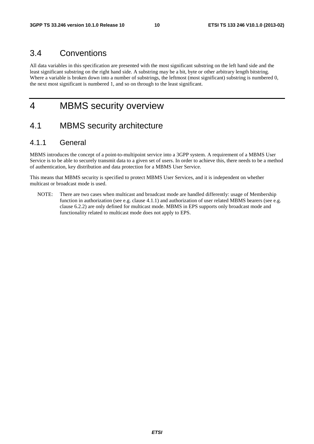### 3.4 Conventions

All data variables in this specification are presented with the most significant substring on the left hand side and the least significant substring on the right hand side. A substring may be a bit, byte or other arbitrary length bitstring. Where a variable is broken down into a number of substrings, the leftmost (most significant) substring is numbered 0, the next most significant is numbered 1, and so on through to the least significant.

## 4 MBMS security overview

### 4.1 MBMS security architecture

### 4.1.1 General

MBMS introduces the concept of a point-to-multipoint service into a 3GPP system. A requirement of a MBMS User Service is to be able to securely transmit data to a given set of users. In order to achieve this, there needs to be a method of authentication, key distribution and data protection for a MBMS User Service.

This means that MBMS security is specified to protect MBMS User Services, and it is independent on whether multicast or broadcast mode is used.

NOTE: There are two cases when multicast and broadcast mode are handled differently: usage of Membership function in authorization (see e.g. clause 4.1.1) and authorization of user related MBMS bearers (see e.g. clause 6.2.2) are only defined for multicast mode. MBMS in EPS supports only broadcast mode and functionality related to multicast mode does not apply to EPS.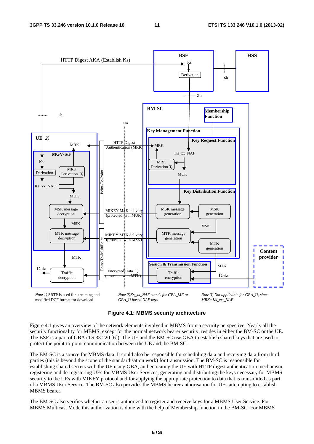

modified DCF format for download

*GBA\_U based NAF keys*

*MRK=Ks\_ext\_NAF* 

#### **Figure 4.1: MBMS security architecture**

Figure 4.1 gives an overview of the network elements involved in MBMS from a security perspective. Nearly all the security functionality for MBMS, except for the normal network bearer security, resides in either the BM-SC or the UE. The BSF is a part of GBA (TS 33.220 [6]). The UE and the BM-SC use GBA to establish shared keys that are used to protect the point-to-point communication between the UE and the BM-SC.

The BM-SC is a source for MBMS data. It could also be responsible for scheduling data and receiving data from third parties (this is beyond the scope of the standardisation work) for transmission. The BM-SC is responsible for establishing shared secrets with the UE using GBA, authenticating the UE with HTTP digest authentication mechanism, registering and de-registering UEs for MBMS User Services, generating and distributing the keys necessary for MBMS security to the UEs with MIKEY protocol and for applying the appropriate protection to data that is transmitted as part of a MBMS User Service. The BM-SC also provides the MBMS bearer authorisation for UEs attempting to establish MBMS bearer.

The BM-SC also verifies whether a user is authorized to register and receive keys for a MBMS User Service. For MBMS Multicast Mode this authorization is done with the help of Membership function in the BM-SC. For MBMS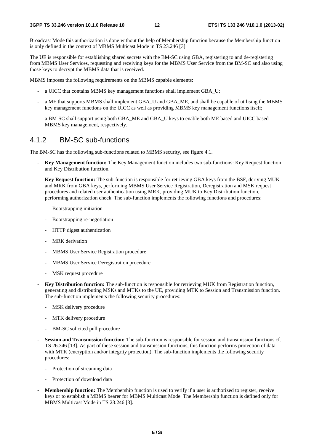Broadcast Mode this authorization is done without the help of Membership function because the Membership function is only defined in the context of MBMS Multicast Mode in TS 23.246 [3].

The UE is responsible for establishing shared secrets with the BM-SC using GBA, registering to and de-registering from MBMS User Services, requesting and receiving keys for the MBMS User Service from the BM-SC and also using those keys to decrypt the MBMS data that is received.

MBMS imposes the following requirements on the MBMS capable elements:

- a UICC that contains MBMS key management functions shall implement GBA\_U;
- a ME that supports MBMS shall implement GBA\_U and GBA\_ME, and shall be capable of utilising the MBMS key management functions on the UICC as well as providing MBMS key management functions itself;
- a BM-SC shall support using both GBA\_ME and GBA\_U keys to enable both ME based and UICC based MBMS key management, respectively.

### 4.1.2 BM-SC sub-functions

The BM-SC has the following sub-functions related to MBMS security, see figure 4.1.

- **Key Management function:** The Key Management function includes two sub-functions: Key Request function and Key Distribution function.
- **Key Request function:** The sub-function is responsible for retrieving GBA keys from the BSF, deriving MUK and MRK from GBA keys, performing MBMS User Service Registration, Deregistration and MSK request procedures and related user authentication using MRK, providing MUK to Key Distribution function, performing authorization check. The sub-function implements the following functions and procedures:
	- Bootstrapping initiation
	- Bootstrapping re-negotiation
	- HTTP digest authentication
	- MRK derivation
	- MBMS User Service Registration procedure
	- MBMS User Service Deregistration procedure
	- MSK request procedure
- **Key Distribution function:** The sub-function is responsible for retrieving MUK from Registration function, generating and distributing MSKs and MTKs to the UE, providing MTK to Session and Transmission function. The sub-function implements the following security procedures:
	- MSK delivery procedure
	- MTK delivery procedure
	- BM-SC solicited pull procedure
- **Session and Transmission function:** The sub-function is responsible for session and transmission functions cf. TS 26.346 [13]. As part of these session and transmission functions, this function performs protection of data with MTK (encryption and/or integrity protection). The sub-function implements the following security procedures:
	- Protection of streaming data
	- Protection of download data
- **Membership function:** The Membership function is used to verify if a user is authorized to register, receive keys or to establish a MBMS bearer for MBMS Multicast Mode. The Membership function is defined only for MBMS Multicast Mode in TS 23.246 [3].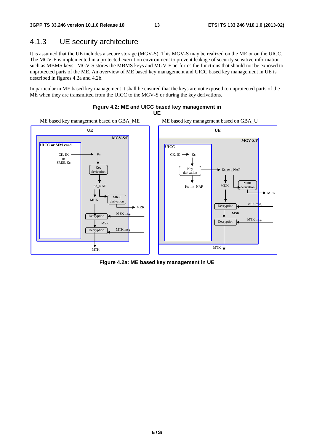### 4.1.3 UE security architecture

It is assumed that the UE includes a secure storage (MGV-S). This MGV-S may be realized on the ME or on the UICC. The MGV-F is implemented in a protected execution environment to prevent leakage of security sensitive information such as MBMS keys. MGV-S stores the MBMS keys and MGV-F performs the functions that should not be exposed to unprotected parts of the ME. An overview of ME based key management and UICC based key management in UE is described in figures 4.2a and 4.2b.

In particular in ME based key management it shall be ensured that the keys are not exposed to unprotected parts of the ME when they are transmitted from the UICC to the MGV-S or during the key derivations.



**Figure 4.2: ME and UICC based key management in** 

**Figure 4.2a: ME based key management in UE**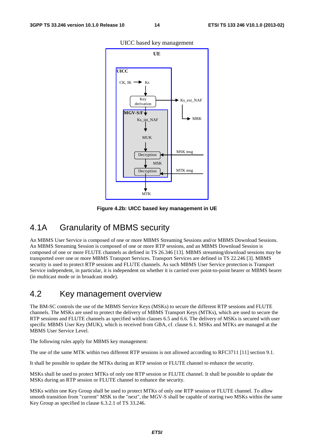

UICC based key management

**Figure 4.2b: UICC based key management in UE** 

### 4.1A Granularity of MBMS security

An MBMS User Service is composed of one or more MBMS Streaming Sessions and/or MBMS Download Sessions. An MBMS Streaming Session is composed of one or more RTP sessions, and an MBMS Download Session is composed of one or more FLUTE channels as defined in TS 26.346 [13]. MBMS streaming/download sessions may be transported over one or more MBMS Transport Services. Transport Services are defined in TS 22.246 [3]. MBMS security is used to protect RTP sessions and FLUTE channels. As such MBMS User Service protection is Transport Service independent, in particular, it is independent on whether it is carried over point-to-point bearer or MBMS bearer (in multicast mode or in broadcast mode).

## 4.2 Key management overview

The BM-SC controls the use of the MBMS Service Keys (MSKs) to secure the different RTP sessions and FLUTE channels. The MSKs are used to protect the delivery of MBMS Transport Keys (MTKs), which are used to secure the RTP sessions and FLUTE channels as specified within clauses 6.5 and 6.6. The delivery of MSKs is secured with user specific MBMS User Key (MUK), which is received from GBA, cf. clause 6.1. MSKs and MTKs are managed at the MBMS User Service Level.

The following rules apply for MBMS key management:

The use of the same MTK within two different RTP sessions is not allowed according to RFC3711 [11] section 9.1.

It shall be possible to update the MTKs during an RTP session or FLUTE channel to enhance the security.

MSKs shall be used to protect MTKs of only one RTP session or FLUTE channel. It shall be possible to update the MSKs during an RTP session or FLUTE channel to enhance the security.

MSKs within one Key Group shall be used to protect MTKs of only one RTP session or FLUTE channel. To allow smooth transition from "current" MSK to the "next", the MGV-S shall be capable of storing two MSKs within the same Key Group as specified in clause 6.3.2.1 of TS 33.246.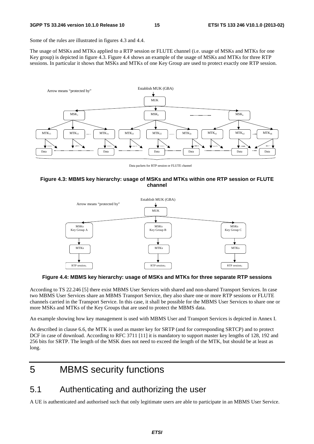Some of the rules are illustrated in figures 4.3 and 4.4.

The usage of MSKs and MTKs applied to a RTP session or FLUTE channel (i.e. usage of MSKs and MTKs for one Key group) is depicted in figure 4.3. Figure 4.4 shows an example of the usage of MSKs and MTKs for three RTP sessions. In particular it shows that MSKs and MTKs of one Key Group are used to protect exactly one RTP session.



Data packets for RTP session or FLUTE channel

#### **Figure 4.3: MBMS key hierarchy: usage of MSKs and MTKs within one RTP session or FLUTE channel**



**Figure 4.4: MBMS key hierarchy: usage of MSKs and MTKs for three separate RTP sessions** 

According to TS 22.246 [5] there exist MBMS User Services with shared and non-shared Transport Services. In case two MBMS User Services share an MBMS Transport Service, they also share one or more RTP sessions or FLUTE channels carried in the Transport Service. In this case, it shall be possible for the MBMS User Services to share one or more MSKs and MTKs of the Key Groups that are used to protect the MBMS data.

An example showing how key management is used with MBMS User and Transport Services is depicted in Annex I.

As described in clause 6.6, the MTK is used as master key for SRTP (and for corresponding SRTCP) and to protect DCF in case of download. According to RFC 3711 [11] it is mandatory to support master key lengths of 128, 192 and 256 bits for SRTP. The length of the MSK does not need to exceed the length of the MTK, but should be at least as long.

## 5 MBMS security functions

## 5.1 Authenticating and authorizing the user

A UE is authenticated and authorised such that only legitimate users are able to participate in an MBMS User Service.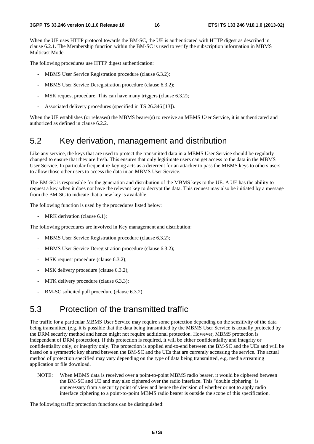When the UE uses HTTP protocol towards the BM-SC, the UE is authenticated with HTTP digest as described in clause 6.2.1. The Membership function within the BM-SC is used to verify the subscription information in MBMS Multicast Mode.

The following procedures use HTTP digest authentication:

- MBMS User Service Registration procedure (clause 6.3.2);
- MBMS User Service Deregistration procedure (clause 6.3.2);
- MSK request procedure. This can have many triggers (clause 6.3.2);
- Associated delivery procedures (specified in TS 26.346 [13]).

When the UE establishes (or releases) the MBMS bearer(s) to receive an MBMS User Service, it is authenticated and authorized as defined in clause 6.2.2.

### 5.2 Key derivation, management and distribution

Like any service, the keys that are used to protect the transmitted data in a MBMS User Service should be regularly changed to ensure that they are fresh. This ensures that only legitimate users can get access to the data in the MBMS User Service. In particular frequent re-keying acts as a deterrent for an attacker to pass the MBMS keys to others users to allow those other users to access the data in an MBMS User Service.

The BM-SC is responsible for the generation and distribution of the MBMS keys to the UE. A UE has the ability to request a key when it does not have the relevant key to decrypt the data. This request may also be initiated by a message from the BM-SC to indicate that a new key is available.

The following function is used by the procedures listed below:

MRK derivation (clause 6.1);

The following procedures are involved in Key management and distribution:

- MBMS User Service Registration procedure (clause 6.3.2);
- MBMS User Service Deregistration procedure (clause 6.3.2);
- MSK request procedure (clause 6.3.2);
- MSK delivery procedure (clause 6.3.2);
- MTK delivery procedure (clause 6.3.3);
- BM-SC solicited pull procedure (clause 6.3.2).

## 5.3 Protection of the transmitted traffic

The traffic for a particular MBMS User Service may require some protection depending on the sensitivity of the data being transmitted (e.g. it is possible that the data being transmitted by the MBMS User Service is actually protected by the DRM security method and hence might not require additional protection. However, MBMS protection is independent of DRM protection). If this protection is required, it will be either confidentiality and integrity or confidentiality only, or integrity only. The protection is applied end-to-end between the BM-SC and the UEs and will be based on a symmetric key shared between the BM-SC and the UEs that are currently accessing the service. The actual method of protection specified may vary depending on the type of data being transmitted, e.g. media streaming application or file download.

NOTE: When MBMS data is received over a point-to-point MBMS radio bearer, it would be ciphered between the BM-SC and UE and may also ciphered over the radio interface. This "double ciphering" is unnecessary from a security point of view and hence the decision of whether or not to apply radio interface ciphering to a point-to-point MBMS radio bearer is outside the scope of this specification.

The following traffic protection functions can be distinguished: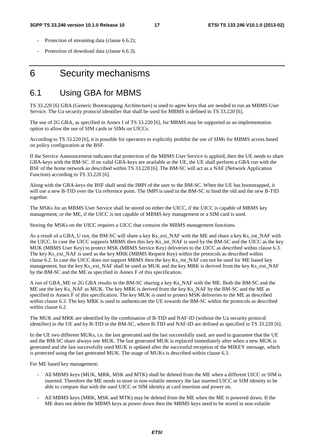- Protection of streaming data (clause 6.6.2);
- Protection of download data (clause 6.6.3).

## 6 Security mechanisms

### 6.1 Using GBA for MBMS

TS 33.220 [6] GBA (Generic Bootstrapping Architecture) is used to agree keys that are needed to run an MBMS User Service. The Ua security protocol identifier that shall be used for MBMS is defined in TS 33.220 [6].

The use of 2G GBA, as specified in Annex I of TS 33.220 [6], for MBMS may be supported as an implementation option to allow the use of SIM cards or SIMs on UICCs.

According to TS 33.220 [6], it is possible for operators to explicitly prohibit the use of SIMs for MBMS access based on policy configuration at the BSF.

If the Service Announcement indicates that protection of the MBMS User Service is applied, then the UE needs to share GBA-keys with the BM-SC. If no valid GBA-keys are available at the UE, the UE shall perform a GBA run with the BSF of the home network as described within TS 33.220 [6]. The BM-SC will act as a NAF (Network Application Function) according to TS 33.220 [6].

Along with the GBA-keys the BSF shall send the IMPI of the user to the BM-SC. When the UE has bootstrapped, it will use a new B-TID over the Ua reference point. The IMPI is used in the BM-SC to bind the old and the new B-TID together.

The MSKs for an MBMS User Service shall be stored on either the UICC, if the UICC is capable of MBMS key management, or the ME, if the UICC is not capable of MBMS key management or a SIM card is used.

Storing the MSKs on the UICC requires a UICC that contains the MBMS management functions.

As a result of a GBA\_U run, the BM-SC will share a key Ks\_ext\_NAF with the ME and share a key Ks\_int\_NAF with the UICC. In case the UICC supports MBMS then this key Ks\_int\_NAF is used by the BM-SC and the UICC as the key MUK (MBMS User Key) to protect MSK (MBMS Service Key) deliveries to the UICC as described within clause 6.3. The key Ks\_ext\_NAF is used as the key MRK (MBMS Request Key) within the protocols as described within clause 6.2. In case the UICC does not support MBMS then the key Ks\_int\_NAF can not be used for ME based key management, but the key Ks\_ext\_NAF shall be used as MUK and the key MRK is derived from the key Ks\_ext\_NAF by the BM-SC and the ME as specified in Annex F of this specification.

A run of GBA\_ME or 2G GBA results in the BM-SC sharing a key Ks\_NAF with the ME. Both the BM-SC and the ME use the key Ks\_NAF as MUK. The key MRK is derived from the key Ks\_NAF by the BM-SC and the ME as specified in Annex F of this specification. The key MUK is used to protect MSK deliveries to the ME as described within clause 6.3. The key MRK is used to authenticate the UE towards the BM-SC within the protocols as described within clause 6.2.

The MUK and MRK are identified by the combination of B-TID and NAF-ID (without the Ua security protocol identifier) in the UE and by B-TID in the BM-SC, where B-TID and NAF-ID are defined as specified in TS 33.220 [6].

In the UE two different MUKs, i.e. the last generated and the last successfully used, are used to guarantee that the UE and the BM-SC share always one MUK. The last generated MUK is replaced immediately after when a new MUK is generated and the last successfully used MUK is updated after the successful reception of the MIKEY message, which is protected using the last generated MUK. The usage of MUKs is described within clause 6.3.

For ME based key management:

- All MBMS keys (MUK, MRK, MSK and MTK) shall be deleted from the ME when a different UICC or SIM is inserted. Therefore the ME needs to store in non-volatile memory the last inserted UICC or SIM identity to be able to compare that with the used UICC or SIM identity at card insertion and power on.
- All MBMS keys (MRK, MSK and MTK) may be deleted from the ME when the ME is powered down. If the ME does not delete the MBMS keys at power down then the MBMS keys need to be stored in non-volatile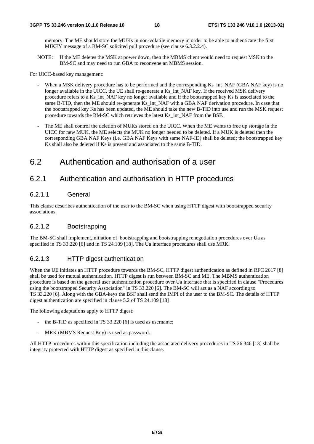memory. The ME should store the MUKs in non-volatile memory in order to be able to authenticate the first MIKEY message of a BM-SC solicited pull procedure (see clause 6.3.2.2.4).

NOTE: If the ME deletes the MSK at power down, then the MBMS client would need to request MSK to the BM-SC and may need to run GBA to reconvene an MBMS session.

For UICC-based key management:

- When a MSK delivery procedure has to be performed and the corresponding Ks\_int\_NAF (GBA NAF key) is no longer available in the UICC, the UE shall re-generate a Ks int NAF key. If the received MSK delivery procedure refers to a Ks\_int\_NAF key no longer available and if the bootstrapped key Ks is associated to the same B-TID, then the ME should re-generate Ks\_int\_NAF with a GBA NAF derivation procedure. In case that the bootstrapped key Ks has been updated, the ME should take the new B-TID into use and run the MSK request procedure towards the BM-SC which retrieves the latest Ks\_int\_NAF from the BSF.
- The ME shall control the deletion of MUKs stored on the UICC. When the ME wants to free up storage in the UICC for new MUK, the ME selects the MUK no longer needed to be deleted. If a MUK is deleted then the corresponding GBA NAF Keys (i.e. GBA NAF Keys with same NAF-ID) shall be deleted; the bootstrapped key Ks shall also be deleted if Ks is present and associated to the same B-TID.

## 6.2 Authentication and authorisation of a user

### 6.2.1 Authentication and authorisation in HTTP procedures

### 6.2.1.1 General

This clause describes authentication of the user to the BM-SC when using HTTP digest with bootstrapped security associations.

### 6.2.1.2 Bootstrapping

The BM-SC shall implement,initiation of bootstrapping and bootstrapping renegotiation procedures over Ua as specified in TS 33.220 [6] and in TS 24.109 [18]. The Ua interface procedures shall use MRK.

### 6.2.1.3 HTTP digest authentication

When the UE initiates an HTTP procedure towards the BM-SC, HTTP digest authentication as defined in RFC 2617 [8] shall be used for mutual authentication. HTTP digest is run between BM-SC and ME. The MBMS authentication procedure is based on the general user authentication procedure over Ua interface that is specified in clause "Procedures using the bootstrapped Security Association" in TS 33.220 [6]. The BM-SC will act as a NAF according to TS 33.220 [6]. Along with the GBA-keys the BSF shall send the IMPI of the user to the BM-SC. The details of HTTP digest authentication are specified in clause 5.2 of TS 24.109 [18]

The following adaptations apply to HTTP digest:

- the B-TID as specified in TS 33.220 [6] is used as username;
- MRK (MBMS Request Key) is used as password.

All HTTP procedures within this specification including the associated delivery procedures in TS 26.346 [13] shall be integrity protected with HTTP digest as specified in this clause.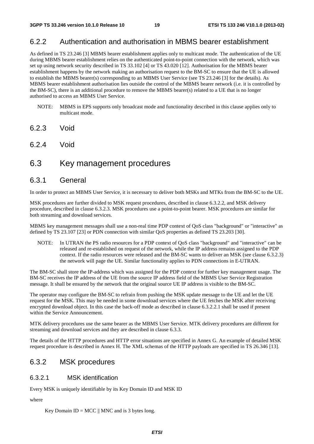### 6.2.2 Authentication and authorisation in MBMS bearer establishment

As defined in TS 23.246 [3] MBMS bearer establishment applies only to multicast mode. The authentication of the UE during MBMS bearer establishment relies on the authenticated point-to-point connection with the network, which was set up using network security described in TS 33.102 [4] or TS 43.020 [12]. Authorisation for the MBMS bearer establishment happens by the network making an authorisation request to the BM-SC to ensure that the UE is allowed to establish the MBMS bearer(s) corresponding to an MBMS User Service (see TS 23.246 [3] for the details). As MBMS bearer establishment authorisation lies outside the control of the MBMS bearer network (i.e. it is controlled by the BM-SC), there is an additional procedure to remove the MBMS bearer(s) related to a UE that is no longer authorised to access an MBMS User Service.

- NOTE: MBMS in EPS supports only broadcast mode and functionality described in this clause applies only to multicast mode.
- 6.2.3 Void
- 6.2.4 Void

### 6.3 Key management procedures

### 6.3.1 General

In order to protect an MBMS User Service, it is necessary to deliver both MSKs and MTKs from the BM-SC to the UE.

MSK procedures are further divided to MSK request procedures, described in clause 6.3.2.2, and MSK delivery procedure, described in clause 6.3.2.3. MSK procedures use a point-to-point bearer. MSK procedures are similar for both streaming and download services.

MBMS key management messages shall use a non-real time PDP context of QoS class "background" or "interactive" as defined by TS 23.107 [23] or PDN connection with similar QoS properties as defined TS 23.203 [30].

NOTE: In UTRAN the PS radio resources for a PDP context of QoS class "background" and "interactive" can be released and re-established on request of the network, while the IP address remains assigned to the PDP context. If the radio resources were released and the BM-SC wants to deliver an MSK (see clause 6.3.2.3) the network will page the UE. Similar functionality applies to PDN connections in E-UTRAN.

The BM-SC shall store the IP-address which was assigned for the PDP context for further key management usage. The BM-SC receives the IP address of the UE from the source IP address field of the MBMS User Service Registration message. It shall be ensured by the network that the original source UE IP address is visible to the BM-SC.

The operator may configure the BM-SC to refrain from pushing the MSK update message to the UE and let the UE request for the MSK. This may be needed in some download services where the UE fetches the MSK after receiving encrypted download object. In this case the back-off mode as described in clause 6.3.2.2.1 shall be used if present within the Service Announcement.

MTK delivery procedures use the same bearer as the MBMS User Service. MTK delivery procedures are different for streaming and download services and they are described in clause 6.3.3.

The details of the HTTP procedures and HTTP error situations are specified in Annex G. An example of detailed MSK request procedure is described in Annex H. The XML schemas of the HTTP payloads are specified in TS 26.346 [13].

### 6.3.2 MSK procedures

### 6.3.2.1 MSK identification

Every MSK is uniquely identifiable by its Key Domain ID and MSK ID

#### where

Key Domain  $ID = MCC \parallel MNC$  and is 3 bytes long.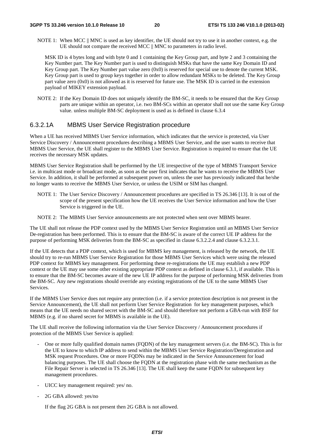NOTE 1: When MCC || MNC is used as key identifier, the UE should not try to use it in another context, e.g. the UE should not compare the received MCC || MNC to parameters in radio level.

 MSK ID is 4 bytes long and with byte 0 and 1 containing the Key Group part, and byte 2 and 3 containing the Key Number part. The Key Number part is used to distinguish MSKs that have the same Key Domain ID and Key Group part. The Key Number part value zero (0x0) is reserved for special use to denote the current MSK. Key Group part is used to group keys together in order to allow redundant MSKs to be deleted. The Key Group part value zero (0x0) is not allowed as it is reserved for future use. The MSK ID is carried in the extension payload of MIKEY extension payload.

NOTE 2: If the Key Domain ID does not uniquely identify the BM-SC, it needs to be ensured that the Key Group parts are unique within an operator, i.e. two BM-SCs within an operator shall not use the same Key Group value. unless multiple BM-SC deployment is used as is defined in clause 6.3.4

#### 6.3.2.1A MBMS User Service Registration procedure

When a UE has received MBMS User Service information, which indicates that the service is protected, via User Service Discovery / Announcement procedures describing a MBMS User Service, and the user wants to receive that MBMS User Service, the UE shall register to the MBMS User Service. Registration is required to ensure that the UE receives the necessary MSK updates.

MBMS User Service Registration shall be performed by the UE irrespective of the type of MBMS Transport Service i.e. in multicast mode or broadcast mode, as soon as the user first indicates that he wants to receive the MBMS User Service. In addition, it shall be performed at subsequent power on, unless the user has previously indicated that he/she no longer wants to receive the MBMS User Service, or unless the USIM or SIM has changed.

- NOTE 1: The User Service Discovery / Announcement procedures are specified in TS 26.346 [13]. It is out of the scope of the present specification how the UE receives the User Service information and how the User Service is triggered in the UE.
- NOTE 2: The MBMS User Service announcements are not protected when sent over MBMS bearer.

The UE shall not release the PDP context used by the MBMS User Service Registration until an MBMS User Service De-registration has been performed. This is to ensure that the BM-SC is aware of the correct UE IP address for the purpose of performing MSK deliveries from the BM-SC as specified in clause 6.3.2.2.4 and clause 6.3.2.3.1.

If the UE detects that a PDP context, which is used for MBMS key management, is released by the network, the UE should try to re-run MBMS User Service Registration for those MBMS User Services which were using the released PDP context for MBMS key management. For performing these re-registrations the UE may establish a new PDP context or the UE may use some other existing appropriate PDP context as defined in clause 6.3.1, if available. This is to ensure that the BM-SC becomes aware of the new UE IP address for the purpose of performing MSK deliveries from the BM-SC. Any new registrations should override any existing registrations of the UE to the same MBMS User Services.

If the MBMS User Service does not require any protection (i.e. if a service protection description is not present in the Service Announcement), the UE shall not perform User Service Registration for key management purposes, which means that the UE needs no shared secret with the BM-SC and should therefore not perform a GBA-run with BSF for MBMS (e.g. if no shared secret for MBMS is available in the UE).

The UE shall receive the following information via the User Service Discovery / Announcement procedures if protection of the MBMS User Service is applied:

- One or more fully qualified domain names (FQDN) of the key management servers (i.e. the BM-SC). This is for the UE to know to which IP address to send within the MBMS User Service Registration/Deregistration and MSK request Procedures. One or more FQDNs may be indicated in the Service Announcement for load balancing purposes. The UE shall choose the FQDN at the registration phase with the same mechanism as the File Repair Server is selected in TS 26.346 [13]. The UE shall keep the same FODN for subsequent key management procedures.
- UICC key management required: yes/ no.
- 2G GBA allowed: yes/no

If the flag 2G GBA is not present then 2G GBA is not allowed.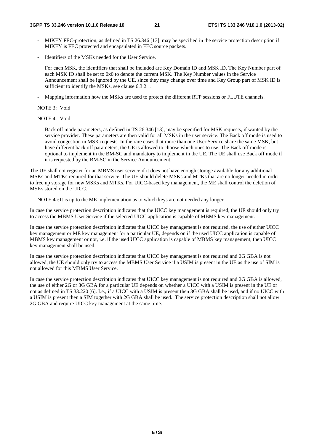- MIKEY FEC-protection, as defined in TS 26.346 [13], may be specified in the service protection description if MIKEY is FEC protected and encapsulated in FEC source packets.
- Identifiers of the MSKs needed for the User Service.

 For each MSK, the identifiers that shall be included are Key Domain ID and MSK ID. The Key Number part of each MSK ID shall be set to 0x0 to denote the current MSK. The Key Number values in the Service Announcement shall be ignored by the UE, since they may change over time and Key Group part of MSK ID is sufficient to identify the MSKs, see clause 6.3.2.1.

Mapping information how the MSKs are used to protect the different RTP sessions or FLUTE channels.

NOTE 3: Void

NOTE 4: Void

Back off mode parameters, as defined in TS 26.346 [13], may be specified for MSK requests, if wanted by the service provider. These parameters are then valid for all MSKs in the user service. The Back off mode is used to avoid congestion in MSK requests. In the rare cases that more than one User Service share the same MSK, but have different back off parameters, the UE is allowed to choose which ones to use. The Back off mode is optional to implement in the BM-SC and mandatory to implement in the UE. The UE shall use Back off mode if it is requested by the BM-SC in the Service Announcement.

The UE shall not register for an MBMS user service if it does not have enough storage available for any additional MSKs and MTKs required for that service. The UE should delete MSKs and MTKs that are no longer needed in order to free up storage for new MSKs and MTKs. For UICC-based key management, the ME shall control the deletion of MSKs stored on the UICC.

NOTE 4a: It is up to the ME implementation as to which keys are not needed any longer.

In case the service protection description indicates that the UICC key management is required, the UE should only try to access the MBMS User Service if the selected UICC application is capable of MBMS key management.

In case the service protection description indicates that UICC key management is not required, the use of either UICC key management or ME key management for a particular UE, depends on if the used UICC application is capable of MBMS key management or not, i.e. if the used UICC application is capable of MBMS key management, then UICC key management shall be used.

In case the service protection description indicates that UICC key management is not required and 2G GBA is not allowed, the UE should only try to access the MBMS User Service if a USIM is present in the UE as the use of SIM is not allowed for this MBMS User Service.

In case the service protection description indicates that UICC key management is not required and 2G GBA is allowed, the use of either 2G or 3G GBA for a particular UE depends on whether a UICC with a USIM is present in the UE or not as defined in TS 33.220 [6]. I.e., if a UICC with a USIM is present then 3G GBA shall be used, and if no UICC with a USIM is present then a SIM together with 2G GBA shall be used. The service protection description shall not allow 2G GBA and require UICC key management at the same time.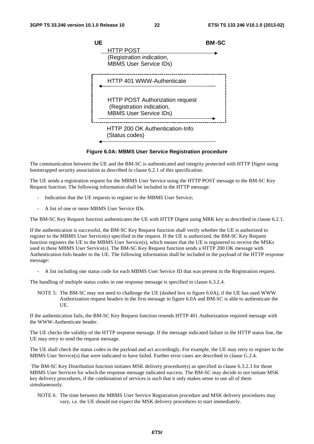

#### **Figure 6.0A: MBMS User Service Registration procedure**

The communication between the UE and the BM-SC is authenticated and integrity protected with HTTP Digest using bootstrapped security association as described in clause 6.2.1 of this specification.

The UE sends a registration request for the MBMS User Service using the HTTP POST message to the BM-SC Key Request function. The following information shall be included in the HTTP message.

- Indication that the UE requests to register to the MBMS User Service;
- A list of one or more MBMS User Service IDs.

The BM-SC Key Request function authenticates the UE with HTTP Digest using MRK key as described in clause 6.2.1.

If the authentication is successful, the BM-SC Key Request function shall verify whether the UE is authorized to register to the MBMS User Service(s) specified in the request. If the UE is authorized, the BM-SC Key Request function registers the UE to the MBMS User Service(s), which means that the UE is registered to receive the MSKs used in these MBMS User Service(s). The BM-SC Key Request function sends a HTTP 200 OK message with Authentication-Info header to the UE. The following information shall be included in the payload of the HTTP response message:

- A list including one status code for each MBMS User Service ID that was present in the Registration request.

The handling of multiple status codes in one response message is specified in clause 6.3.2.4.

NOTE 5: The BM-SC may not need to challenge the UE (dashed box in figure 6.0A), if the UE has used WWW Authorization request headers in the first message in figure 6.0A and BM-SC is able to authenticate the UE.

If the authentication fails, the BM-SC Key Request function resends HTTP 401 Authorization required message with the WWW-Authenticate header.

The UE checks the validity of the HTTP response message. If the message indicated failure in the HTTP status line, the UE may retry to send the request message.

The UE shall check the status codes in the payload and act accordingly. For example, the UE may retry to register to the MBMS User Service(s) that were indicated to have failed. Further error cases are described in clause G.2.4.

 The BM-SC Key Distribution function initiates MSK delivery procedure(s) as specified in clause 6.3.2.3 for those MBMS User Services for which the response message indicated success. The BM-SC may decide to not initiate MSK key delivery procedures, if the combination of services is such that it only makes sense to use all of them simultaneously.

NOTE 6: The time between the MBMS User Service Registration procedure and MSK delivery procedures may vary, i.e. the UE should not expect the MSK delivery procedures to start immediately.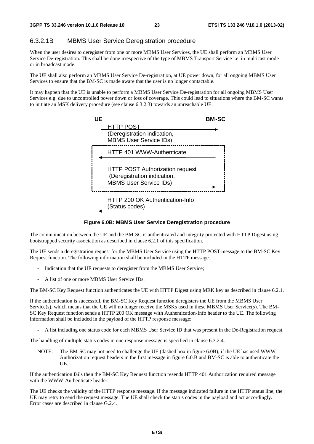### 6.3.2.1B MBMS User Service Deregistration procedure

When the user desires to deregister from one or more MBMS User Services, the UE shall perform an MBMS User Service De-registration. This shall be done irrespective of the type of MBMS Transport Service i.e. in multicast mode or in broadcast mode.

The UE shall also perform an MBMS User Service De-registration, at UE power down, for all ongoing MBMS User Services to ensure that the BM-SC is made aware that the user is no longer contactable.

It may happen that the UE is unable to perform a MBMS User Service De-registration for all ongoing MBMS User Services e.g. due to uncontrolled power down or loss of coverage. This could lead to situations where the BM-SC wants to initiate an MSK delivery procedure (see clause 6.3.2.3) towards an unreachable UE.



#### **Figure 6.0B: MBMS User Service Deregistration procedure**

The communication between the UE and the BM-SC is authenticated and integrity protected with HTTP Digest using bootstrapped security association as described in clause 6.2.1 of this specification.

The UE sends a deregistration request for the MBMS User Service using the HTTP POST message to the BM-SC Key Request function. The following information shall be included in the HTTP message.

- Indication that the UE requests to deregister from the MBMS User Service;
- A list of one or more MBMS User Service IDs.

The BM-SC Key Request function authenticates the UE with HTTP Digest using MRK key as described in clause 6.2.1.

If the authentication is successful, the BM-SC Key Request function deregisters the UE from the MBMS User Service(s), which means that the UE will no longer receive the MSKs used in these MBMS User Service(s). The BM-SC Key Request function sends a HTTP 200 OK message with Authentication-Info header to the UE. The following information shall be included in the payload of the HTTP response message:

- A list including one status code for each MBMS User Service ID that was present in the De-Registration request.

The handling of multiple status codes in one response message is specified in clause 6.3.2.4.

NOTE: The BM-SC may not need to challenge the UE (dashed box in figure 6.0B), if the UE has used WWW Authorization request headers in the first message in figure 6.0.B and BM-SC is able to authenticate the UE.

If the authentication fails then the BM-SC Key Request function resends HTTP 401 Authorization required message with the WWW-Authenticate header.

The UE checks the validity of the HTTP response message. If the message indicated failure in the HTTP status line, the UE may retry to send the request message. The UE shall check the status codes in the payload and act accordingly. Error cases are described in clause G.2.4.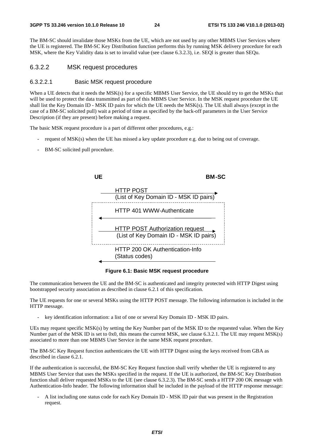The BM-SC should invalidate those MSKs from the UE, which are not used by any other MBMS User Services where the UE is registered. The BM-SC Key Distribution function performs this by running MSK delivery procedure for each MSK, where the Key Validity data is set to invalid value (see clause 6.3.2.3), i.e. SEQl is greater than SEQu.

#### 6.3.2.2 MSK request procedures

#### 6.3.2.2.1 Basic MSK request procedure

When a UE detects that it needs the MSK(s) for a specific MBMS User Service, the UE should try to get the MSKs that will be used to protect the data transmitted as part of this MBMS User Service. In the MSK request procedure the UE shall list the Key Domain ID - MSK ID pairs for which the UE needs the MSK(s). The UE shall always (except in the case of a BM-SC solicited pull) wait a period of time as specified by the back-off parameters in the User Service Description (if they are present) before making a request.

The basic MSK request procedure is a part of different other procedures, e.g.:

- request of MSK(s) when the UE has missed a key update procedure e.g. due to being out of coverage.
- BM-SC solicited pull procedure.



**Figure 6.1: Basic MSK request procedure** 

The communication between the UE and the BM-SC is authenticated and integrity protected with HTTP Digest using bootstrapped security association as described in clause 6.2.1 of this specification.

The UE requests for one or several MSKs using the HTTP POST message. The following information is included in the HTTP message.

key identification information: a list of one or several Key Domain ID - MSK ID pairs.

UEs may request specific MSK(s) by setting the Key Number part of the MSK ID to the requested value. When the Key Number part of the MSK ID is set to 0x0, this means the current MSK, see clause 6.3.2.1. The UE may request MSK(s) associated to more than one MBMS User Service in the same MSK request procedure.

The BM-SC Key Request function authenticates the UE with HTTP Digest using the keys received from GBA as described in clause 6.2.1.

If the authentication is successful, the BM-SC Key Request function shall verify whether the UE is registered to any MBMS User Service that uses the MSKs specified in the request. If the UE is authorized, the BM-SC Key Distribution function shall deliver requested MSKs to the UE (see clause 6.3.2.3). The BM-SC sends a HTTP 200 OK message with Authentication-Info header. The following information shall be included in the payload of the HTTP response message:

- A list including one status code for each Key Domain ID - MSK ID pair that was present in the Registration request.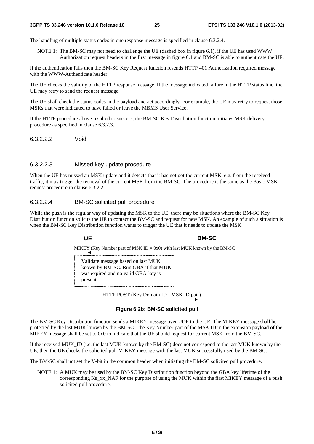The handling of multiple status codes in one response message is specified in clause 6.3.2.4.

NOTE 1: The BM-SC may not need to challenge the UE (dashed box in figure 6.1), if the UE has used WWW Authorization request headers in the first message in figure 6.1 and BM-SC is able to authenticate the UE.

If the authentication fails then the BM-SC Key Request function resends HTTP 401 Authorization required message with the WWW-Authenticate header.

The UE checks the validity of the HTTP response message. If the message indicated failure in the HTTP status line, the UE may retry to send the request message.

The UE shall check the status codes in the payload and act accordingly. For example, the UE may retry to request those MSKs that were indicated to have failed or leave the MBMS User Service.

If the HTTP procedure above resulted to success, the BM-SC Key Distribution function initiates MSK delivery procedure as specified in clause 6.3.2.3.

6.3.2.2.2 Void

#### 6.3.2.2.3 Missed key update procedure

When the UE has missed an MSK update and it detects that it has not got the current MSK, e.g. from the received traffic, it may trigger the retrieval of the current MSK from the BM-SC. The procedure is the same as the Basic MSK request procedure in clause 6.3.2.2.1.

#### 6.3.2.2.4 BM-SC solicited pull procedure

While the push is the regular way of updating the MSK to the UE, there may be situations where the BM-SC Key Distribution function solicits the UE to contact the BM-SC and request for new MSK. An example of such a situation is when the BM-SC Key Distribution function wants to trigger the UE that it needs to update the MSK.

#### **UE BM-SC**

MIKEY (Key Number part of MSK ID = 0x0) with last MUK known by the BM-SC<br>  $\frac{1}{2}$ 

Validate message based on last MUK known by BM-SC. Run GBA if that MUK was expired and no valid GBA-key is present

HTTP POST (Key Domain ID - MSK ID pair)

#### **Figure 6.2b: BM-SC solicited pull**

The BM-SC Key Distribution function sends a MIKEY message over UDP to the UE. The MIKEY message shall be protected by the last MUK known by the BM-SC. The Key Number part of the MSK ID in the extension payload of the MIKEY message shall be set to 0x0 to indicate that the UE should request for current MSK from the BM-SC.

If the received MUK\_ID (i.e. the last MUK known by the BM-SC) does not correspond to the last MUK known by the UE, then the UE checks the solicited pull MIKEY message with the last MUK successfully used by the BM-SC.

The BM-SC shall not set the V-bit in the common header when initiating the BM-SC solicited pull procedure.

NOTE 1: A MUK may be used by the BM-SC Key Distribution function beyond the GBA key lifetime of the corresponding Ks\_xx\_NAF for the purpose of using the MUK within the first MIKEY message of a push solicited pull procedure.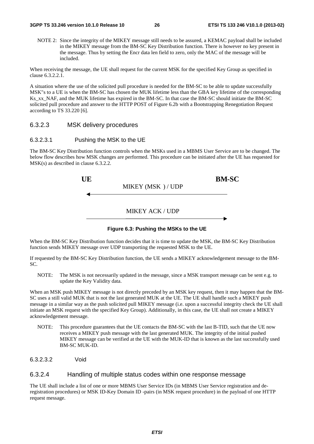NOTE 2: Since the integrity of the MIKEY message still needs to be assured, a KEMAC payload shall be included in the MIKEY message from the BM-SC Key Distribution function. There is however no key present in the message. Thus by setting the Encr data len field to zero, only the MAC of the message will be included.

When receiving the message, the UE shall request for the current MSK for the specified Key Group as specified in clause 6.3.2.2.1.

A situation where the use of the solicited pull procedure is needed for the BM-SC to be able to update successfully MSK"s to a UE is when the BM-SC has chosen the MUK lifetime less than the GBA key lifetime of the corresponding Ks\_xx\_NAF, and the MUK lifetime has expired in the BM-SC. In that case the BM-SC should initiate the BM-SC solicited pull procedure and answer to the HTTP POST of Figure 6.2b with a Bootstrapping Renegotiation Request according to TS 33.220 [6].

#### 6.3.2.3 MSK delivery procedures

#### 6.3.2.3.1 Pushing the MSK to the UE

The BM-SC Key Distribution function controls when the MSKs used in a MBMS User Service are to be changed. The below flow describes how MSK changes are performed. This procedure can be initiated after the UE has requested for MSK(s) as described in clause 6.3.2.2.

| UE | MIKEY (MSK)/UDP      | <b>BM-SC</b> |  |
|----|----------------------|--------------|--|
|    | <b>MIKEY ACK/UDP</b> |              |  |



When the BM-SC Key Distribution function decides that it is time to update the MSK, the BM-SC Key Distribution function sends MIKEY message over UDP transporting the requested MSK to the UE.

If requested by the BM-SC Key Distribution function, the UE sends a MIKEY acknowledgement message to the BM-SC.

NOTE: The MSK is not necessarily updated in the message, since a MSK transport message can be sent e.g. to update the Key Validity data.

When an MSK push MIKEY message is not directly preceded by an MSK key request, then it may happen that the BM-SC uses a still valid MUK that is not the last generated MUK at the UE. The UE shall handle such a MIKEY push message in a similar way as the push solicited pull MIKEY message (i.e. upon a successful integrity check the UE shall initiate an MSK request with the specified Key Group). Additionally, in this case, the UE shall not create a MIKEY acknowledgement message.

- NOTE: This procedure guarantees that the UE contacts the BM-SC with the last B-TID, such that the UE now receives a MIKEY push message with the last generated MUK. The integrity of the initial pushed MIKEY message can be verified at the UE with the MUK-ID that is known as the last successfully used BM-SC MUK-ID.
- 6.3.2.3.2 Void

#### 6.3.2.4 Handling of multiple status codes within one response message

The UE shall include a list of one or more MBMS User Service IDs (in MBMS User Service registration and deregistration procedures) or MSK ID-Key Domain ID -pairs (in MSK request procedure) in the payload of one HTTP request message.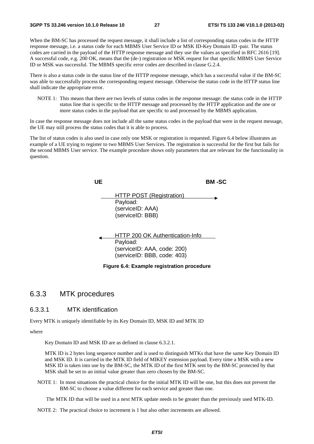When the BM-SC has processed the request message, it shall include a list of corresponding status codes in the HTTP response message, i.e. a status code for each MBMS User Service ID or MSK ID-Key Domain ID -pair. The status codes are carried in the payload of the HTTP response message and they use the values as specified in RFC 2616 [19]. A successful code, e.g. 200 OK, means that the (de-) registration or MSK request for that specific MBMS User Service ID or MSK was successful. The MBMS specific error codes are described in clause G.2.4.

There is also a status code in the status line of the HTTP response message, which has a successful value if the BM-SC was able to successfully process the corresponding request message. Otherwise the status code in the HTTP status line shall indicate the appropriate error.

NOTE 1: This means that there are two levels of status codes in the response message: the status code in the HTTP status line that is specific to the HTTP message and processed by the HTTP application and the one or more status codes in the payload that are specific to and processed by the MBMS application.

In case the response message does not include all the same status codes in the payload that were in the request message, the UE may still process the status codes that it is able to process.

The list of status codes is also used in case only one MSK or registration is requested. Figure 6.4 below illustrates an example of a UE trying to register to two MBMS User Services. The registration is successful for the first but fails for the second MBMS User service. The example procedure shows only parameters that are relevant for the functionality in question.

| UE |                                                                                                           | BM -SC |
|----|-----------------------------------------------------------------------------------------------------------|--------|
|    | <b>HTTP POST (Registration)</b><br>Payload:<br>(serviceID: AAA)<br>(serviceID: BBB)                       |        |
|    | HTTP 200 OK Authentication-Info<br>Payload:<br>(serviceID: AAA, code: 200)<br>(serviceID: BBB, code: 403) |        |
|    | Figure 6.4: Example registration procedure                                                                |        |

### 6.3.3 MTK procedures

### 6.3.3.1 MTK identification

Every MTK is uniquely identifiable by its Key Domain ID, MSK ID and MTK ID

where

Key Domain ID and MSK ID are as defined in clause 6.3.2.1.

MTK ID is 2 bytes long sequence number and is used to distinguish MTKs that have the same Key Domain ID and MSK ID. It is carried in the MTK ID field of MIKEY extension payload. Every time a MSK with a new MSK ID is taken into use by the BM-SC, the MTK ID of the first MTK sent by the BM-SC protected by that MSK shall be set to an initial value greater than zero chosen by the BM-SC.

NOTE 1: In most situations the practical choice for the initial MTK ID will be one, but this does not prevent the BM-SC to choose a value different for each service and greater than one.

The MTK ID that will be used in a next MTK update needs to be greater than the previously used MTK-ID.

NOTE 2: The practical choice to increment is 1 but also other increments are allowed.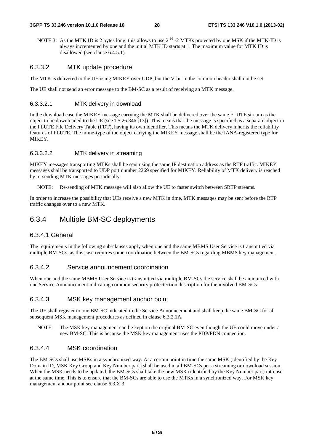#### **3GPP TS 33.246 version 10.1.0 Release 10 28 ETSI TS 133 246 V10.1.0 (2013-02)**

NOTE 3: As the MTK ID is 2 bytes long, this allows to use  $2^{16}$  -2 MTKs protected by one MSK if the MTK-ID is always incremented by one and the initial MTK ID starts at 1. The maximum value for MTK ID is disallowed (see clause 6.4.5.1).

#### 6.3.3.2 MTK update procedure

The MTK is delivered to the UE using MIKEY over UDP, but the V-bit in the common header shall not be set.

The UE shall not send an error message to the BM-SC as a result of receiving an MTK message.

#### 6.3.3.2.1 MTK delivery in download

In the download case the MIKEY message carrying the MTK shall be delivered over the same FLUTE stream as the object to be downloaded to the UE (see TS 26.346 [13]). This means that the message is specified as a separate object in the FLUTE File Delivery Table (FDT), having its own identifier. This means the MTK delivery inherits the reliability features of FLUTE. The mime-type of the object carrying the MIKEY message shall be the IANA-registered type for MIKEY.

#### 6.3.3.2.2 MTK delivery in streaming

MIKEY messages transporting MTKs shall be sent using the same IP destination address as the RTP traffic. MIKEY messages shall be transported to UDP port number 2269 specified for MIKEY. Reliability of MTK delivery is reached by re-sending MTK messages periodically.

NOTE: Re-sending of MTK message will also allow the UE to faster switch between SRTP streams.

In order to increase the possibility that UEs receive a new MTK in time, MTK messages may be sent before the RTP traffic changes over to a new MTK.

### 6.3.4 Multiple BM-SC deployments

### 6.3.4.1 General

The requirements in the following sub-clauses apply when one and the same MBMS User Service is transmitted via multiple BM-SCs, as this case requires some coordination between the BM-SCs regarding MBMS key management.

#### 6.3.4.2 Service announcement coordination

When one and the same MBMS User Service is transmitted via multiple BM-SCs the service shall be announced with one Service Announcement indicating common security protectection description for the involved BM-SCs.

### 6.3.4.3 MSK key management anchor point

The UE shall register to one BM-SC indicated in the Service Announcement and shall keep the same BM-SC for all subsequent MSK management procedures as defined in clause 6.3.2.1A.

NOTE: The MSK key management can be kept on the original BM-SC even though the UE could move under a new BM-SC. This is because the MSK key management uses the PDP/PDN connection.

#### 6.3.4.4 MSK coordination

The BM-SCs shall use MSKs in a synchronized way. At a certain point in time the same MSK (identified by the Key Domain ID, MSK Key Group and Key Number part) shall be used in all BM-SCs per a streaming or download session. When the MSK needs to be updated, the BM-SCs shall take the new MSK (identified by the Key Number part) into use at the same time. This is to ensure that the BM-SCs are able to use the MTKs in a synchronized way. For MSK key management anchor point see clause 6.3.X.3.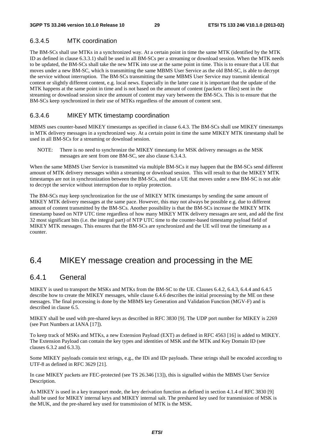### 6.3.4.5 MTK coordination

The BM-SCs shall use MTKs in a synchronized way. At a certain point in time the same MTK (identified by the MTK ID as defined in clause 6.3.3.1) shall be used in all BM-SCs per a streaming or download session. When the MTK needs to be updated, the BM-SCs shall take the new MTK into use at the same point in time. This is to ensure that a UE that moves under a new BM-SC, which is transmitting the same MBMS User Service as the old BM-SC, is able to decrypt the service without interruption. The BM-SCs transmitting the same MBMS User Service may transmit identical content or slightly different content, e.g. local news. Especially in the latter case it is important that the update of the MTK happens at the same point in time and is not based on the amount of content (packets or files) sent in the streaming or download session since the amount of content may vary between the BM-SCs. This is to ensure that the BM-SCs keep synchronized in their use of MTKs regardless of the amount of content sent.

#### 6.3.4.6 MIKEY MTK timestamp coordination

MBMS uses counter-based MIKEY timestamps as specified in clause 6.4.3. The BM-SCs shall use MIKEY timestamps in MTK delivery messages in a synchronized way. At a certain point in time the same MIKEY MTK timestamp shall be used in all BM-SCs for a streaming or download session.

NOTE: There is no need to synchronize the MIKEY timestamp for MSK delivery messages as the MSK messages are sent from one BM-SC, see also clause 6.3.4.3.

When the same MBMS User Service is transmitted via multiple BM-SCs it may happen that the BM-SCs send different amount of MTK delivery messages within a streaming or download session. This will result to that the MIKEY MTK timestamps are not in synchronization between the BM-SCs, and that a UE that moves under a new BM-SC is not able to decrypt the service without interruption due to replay protection.

The BM-SCs may keep synchronization for the use of MIKEY MTK timestamps by sending the same amount of MIKEY MTK delivery messages at the same pace. However, this may not always be possible e.g. due to different amount of content transmitted by the BM-SCs. Another possibility is that the BM-SCs increase the MIKEY MTK timestamp based on NTP UTC time regardless of how many MIKEY MTK delivery messages are sent, and add the first 32 most significant bits (i.e. the integral part) of NTP UTC time to the counter-based timestamp payload field of MIKEY MTK messages. This ensures that the BM-SCs are synchronized and the UE will treat the timestamp as a counter.

### 6.4 MIKEY message creation and processing in the ME

### 6.4.1 General

MIKEY is used to transport the MSKs and MTKs from the BM-SC to the UE. Clauses 6.4.2, 6.4.3, 6.4.4 and 6.4.5 describe how to create the MIKEY messages, while clause 6.4.6 describes the initial processing by the ME on these messages. The final processing is done by the MBMS key Generation and Validation Function (MGV-F) and is described in clause 6.5.

MIKEY shall be used with pre-shared keys as described in RFC 3830 [9]. The UDP port number for MIKEY is 2269 (see Port Numbers at IANA [17]).

To keep track of MSKs and MTKs, a new Extension Payload (EXT) as defined in RFC 4563 [16] is added to MIKEY. The Extension Payload can contain the key types and identities of MSK and the MTK and Key Domain ID (see clauses 6.3.2 and 6.3.3).

Some MIKEY payloads contain text strings, e.g., the IDi and IDr payloads. These strings shall be encoded according to UTF-8 as defined in RFC 3629 [21].

In case MIKEY packets are FEC-protected (see TS 26.346 [13]), this is signalled within the MBMS User Service Description.

As MIKEY is used in a key transport mode, the key derivation function as defined in section 4.1.4 of RFC 3830 [9] shall be used for MIKEY internal keys and MIKEY internal salt. The preshared key used for transmission of MSK is the MUK, and the pre-shared key used for transmission of MTK is the MSK.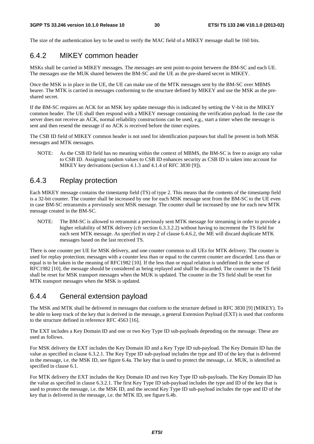The size of the authentication key to be used to verify the MAC field of a MIKEY message shall be 160 bits.

### 6.4.2 MIKEY common header

MSKs shall be carried in MIKEY messages. The messages are sent point-to-point between the BM-SC and each UE. The messages use the MUK shared between the BM-SC and the UE as the pre-shared secret in MIKEY.

Once the MSK is in place in the UE, the UE can make use of the MTK messages sent by the BM-SC over MBMS bearer. The MTK is carried in messages conforming to the structure defined by MIKEY and use the MSK as the preshared secret.

If the BM-SC requires an ACK for an MSK key update message this is indicated by setting the V-bit in the MIKEY common header. The UE shall then respond with a MIKEY message containing the verification payload. In the case the server does not receive an ACK, normal reliability constructions can be used, e.g., start a timer when the message is sent and then resend the message if no ACK is received before the timer expires.

The CSB ID field of MIKEY common header is not used for identification purposes but shall be present in both MSK messages and MTK messages.

NOTE: As the CSB ID field has no meaning within the context of MBMS, the BM-SC is free to assign any value to CSB ID. Assigning random values to CSB ID enhances security as CSB ID is taken into account for MIKEY key derivations (section 4.1.3 and 4.1.4 of RFC 3830 [9]).

### 6.4.3 Replay protection

Each MIKEY message contains the timestamp field (TS) of type 2. This means that the contents of the timestamp field is a 32-bit counter. The counter shall be increased by one for each MSK message sent from the BM-SC to the UE even in case BM-SC retransmits a previously sent MSK message. The counter shall be increased by one for each new MTK message created in the BM-SC.

NOTE: The BM-SC is allowed to retransmit a previously sent MTK message for streaming in order to provide a higher reliability of MTK delivery (cfr section 6.3.3.2.2) without having to increment the TS field for each sent MTK message. As specified in step 2 of clause 6.4.6.2, the ME will discard duplicate MTK messages based on the last received TS.

There is one counter per UE for MSK delivery, and one counter common to all UEs for MTK delivery. The counter is used for replay protection; messages with a counter less than or equal to the current counter are discarded. Less than or equal is to be taken in the meaning of RFC1982 [10]. If the less than or equal relation is undefined in the sense of RFC1982 [10], the message should be considered as being replayed and shall be discarded. The counter in the TS field shall be reset for MSK transport messages when the MUK is updated. The counter in the TS field shall be reset for MTK transport messages when the MSK is updated.

### 6.4.4 General extension payload

The MSK and MTK shall be delivered in messages that conform to the structure defined in RFC 3830 [9] (MIKEY). To be able to keep track of the key that is derived in the message, a general Extension Payload (EXT) is used that conforms to the structure defined in reference RFC 4563 [16].

The EXT includes a Key Domain ID and one or two Key Type ID sub-payloads depending on the message. These are used as follows.

For MSK delivery the EXT includes the Key Domain ID and a Key Type ID sub-payload. The Key Domain ID has the value as specified in clause 6.3.2.1. The Key Type ID sub-payload includes the type and ID of the key that is delivered in the message, i.e. the MSK ID, see figure 6.4a. The key that is used to protect the message, i.e. MUK, is identified as specified in clause 6.1.

For MTK delivery the EXT includes the Key Domain ID and two Key Type ID sub-payloads. The Key Domain ID has the value as specified in clause 6.3.2.1. The first Key Type ID sub-payload includes the type and ID of the key that is used to protect the message, i.e. the MSK ID, and the second Key Type ID sub-payload includes the type and ID of the key that is delivered in the message, i.e. the MTK ID, see figure 6.4b.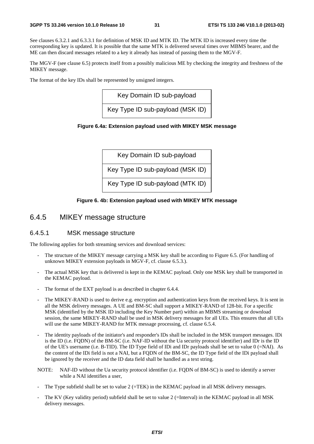See clauses 6.3.2.1 and 6.3.3.1 for definition of MSK ID and MTK ID. The MTK ID is increased every time the corresponding key is updated. It is possible that the same MTK is delivered several times over MBMS bearer, and the ME can then discard messages related to a key it already has instead of passing them to the MGV-F.

The MGV-F (see clause 6.5) protects itself from a possibly malicious ME by checking the integrity and freshness of the MIKEY message.

The format of the key IDs shall be represented by unsigned integers.

Key Domain ID sub-payload

Key Type ID sub-payload (MSK ID)

#### **Figure 6.4a: Extension payload used with MIKEY MSK message**



#### **Figure 6. 4b: Extension payload used with MIKEY MTK message**

### 6.4.5 MIKEY message structure

#### 6.4.5.1 MSK message structure

The following applies for both streaming services and download services:

- The structure of the MIKEY message carrying a MSK key shall be according to Figure 6.5. (For handling of unknown MIKEY extension payloads in MGV-F, cf. clause 6.5.3.).
- The actual MSK key that is delivered is kept in the KEMAC payload. Only one MSK key shall be transported in the KEMAC payload.
- The format of the EXT payload is as described in chapter 6.4.4.
- The MIKEY-RAND is used to derive e.g. encryption and authentication keys from the received keys. It is sent in all the MSK delivery messages. A UE and BM-SC shall support a MIKEY-RAND of 128-bit. For a specific MSK (identified by the MSK ID including the Key Number part) within an MBMS streaming or download session, the same MIKEY-RAND shall be used in MSK delivery messages for all UEs. This ensures that all UEs will use the same MIKEY-RAND for MTK message processing, cf. clause 6.5.4.
- The identity payloads of the initiator's and responder's IDs shall be included in the MSK transport messages. IDi is the ID (i.e. FQDN) of the BM-SC (i.e. NAF-ID without the Ua security protocol identifier) and IDr is the ID of the UE's username (i.e. B-TID). The ID Type field of IDi and IDr payloads shall be set to value 0 (=NAI). As the content of the IDi field is not a NAI, but a FQDN of the BM-SC, the ID Type field of the IDi payload shall be ignored by the receiver and the ID data field shall be handled as a text string.
- NOTE: NAF-ID without the Ua security protocol identifier (i.e. FQDN of BM-SC) is used to identify a server while a NAI identifies a user,
- The Type subfield shall be set to value 2 (=TEK) in the KEMAC payload in all MSK delivery messages.
- The KV (Key validity period) subfield shall be set to value 2 (=Interval) in the KEMAC payload in all MSK delivery messages.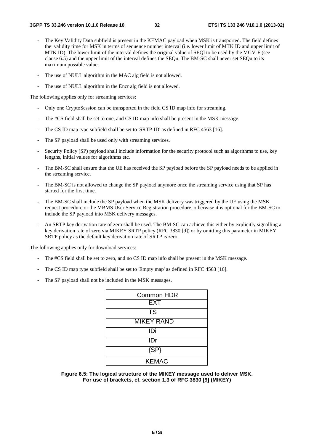- The Key Validity Data subfield is present in the KEMAC payload when MSK is transported. The field defines the validity time for MSK in terms of sequence number interval (i.e. lower limit of MTK ID and upper limit of MTK ID). The lower limit of the interval defines the original value of SEQl to be used by the MGV-F (see clause 6.5) and the upper limit of the interval defines the SEQu. The BM-SC shall never set SEQu to its maximum possible value.
- The use of NULL algorithm in the MAC alg field is not allowed.
- The use of NULL algorithm in the Encr alg field is not allowed.

The following applies only for streaming services:

- Only one CryptoSession can be transported in the field CS ID map info for streaming.
- The #CS field shall be set to one, and CS ID map info shall be present in the MSK message.
- The CS ID map type subfield shall be set to 'SRTP-ID' as defined in RFC 4563 [16].
- The SP payload shall be used only with streaming services.
- Security Policy (SP) payload shall include information for the security protocol such as algorithms to use, key lengths, initial values for algorithms etc.
- The BM-SC shall ensure that the UE has received the SP payload before the SP payload needs to be applied in the streaming service.
- The BM-SC is not allowed to change the SP payload anymore once the streaming service using that SP has started for the first time.
- The BM-SC shall include the SP payload when the MSK delivery was triggered by the UE using the MSK request procedure or the MBMS User Service Registration procedure, otherwise it is optional for the BM-SC to include the SP payload into MSK delivery messages.
- An SRTP key derivation rate of zero shall be used. The BM-SC can achieve this either by explicitly signalling a key derivation rate of zero via MIKEY SRTP policy (RFC 3830 [9]) or by omitting this parameter in MIKEY SRTP policy as the default key derivation rate of SRTP is zero.

The following applies only for download services:

- The #CS field shall be set to zero, and no CS ID map info shall be present in the MSK message.
- The CS ID map type subfield shall be set to 'Empty map' as defined in RFC 4563 [16].
- The SP payload shall not be included in the MSK messages.

| Common HDR             |  |  |  |  |
|------------------------|--|--|--|--|
| <b>EXT</b>             |  |  |  |  |
| $\overline{\text{TS}}$ |  |  |  |  |
| <b>MIKEY RAND</b>      |  |  |  |  |
| IDi                    |  |  |  |  |
| IDr                    |  |  |  |  |
| $\overline{\text{SP}}$ |  |  |  |  |
| <b>KEMAC</b>           |  |  |  |  |

**Figure 6.5: The logical structure of the MIKEY message used to deliver MSK. For use of brackets, cf. section 1.3 of RFC 3830 [9] (MIKEY)**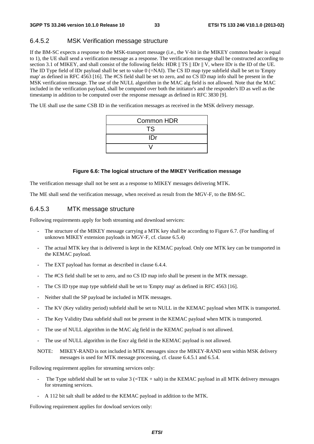### 6.4.5.2 MSK Verification message structure

If the BM-SC expects a response to the MSK-transport message (i.e., the V-bit in the MIKEY common header is equal to 1), the UE shall send a verification message as a response. The verification message shall be constructed according to section 3.1 of MIKEY, and shall consist of the following fields: HDR  $\parallel$  TS  $\parallel$  IDr  $\parallel$  V, where IDr is the ID of the UE. The ID Type field of IDr payload shall be set to value  $0$  (=NAI). The CS ID map type subfield shall be set to 'Empty map' as defined in RFC 4563 [16]. The #CS field shall be set to zero, and no CS ID map info shall be present in the MSK verification message. The use of the NULL algorithm in the MAC alg field is not allowed. Note that the MAC included in the verification payload, shall be computed over both the initiator's and the responder's ID as well as the timestamp in addition to be computed over the response message as defined in RFC 3830 [9].

The UE shall use the same CSB ID in the verification messages as received in the MSK delivery message.

| Common HDR |  |  |  |
|------------|--|--|--|
| <b>TS</b>  |  |  |  |
| IDr        |  |  |  |
|            |  |  |  |

#### **Figure 6.6: The logical structure of the MIKEY Verification message**

The verification message shall not be sent as a response to MIKEY messages delivering MTK.

The ME shall send the verification message, when received as result from the MGV-F, to the BM-SC.

#### 6.4.5.3 MTK message structure

Following requirements apply for both streaming and download services:

- The structure of the MIKEY message carrying a MTK key shall be according to Figure 6.7. (For handling of unknown MIKEY extension payloads in MGV-F, cf. clause 6.5.4)
- The actual MTK key that is delivered is kept in the KEMAC payload. Only one MTK key can be transported in the KEMAC payload.
- The EXT payload has format as described in clause 6.4.4.
- The #CS field shall be set to zero, and no CS ID map info shall be present in the MTK message.
- The CS ID type map type subfield shall be set to 'Empty map' as defined in RFC 4563 [16].
- Neither shall the SP payload be included in MTK messages.
- The KV (Key validity period) subfield shall be set to NULL in the KEMAC payload when MTK is transported.
- The Key Validity Data subfield shall not be present in the KEMAC payload when MTK is transported.
- The use of NULL algorithm in the MAC alg field in the KEMAC payload is not allowed.
- The use of NULL algorithm in the Encr alg field in the KEMAC payload is not allowed.
- NOTE: MIKEY-RAND is not included in MTK messages since the MIKEY-RAND sent within MSK delivery messages is used for MTK message processing, cf. clause 6.4.5.1 and 6.5.4.

Following requirement applies for streaming services only:

- The Type subfield shall be set to value  $3$  (=TEK + salt) in the KEMAC payload in all MTK delivery messages for streaming services.
- A 112 bit salt shall be added to the KEMAC payload in addition to the MTK.

Following requirement applies for dowload services only: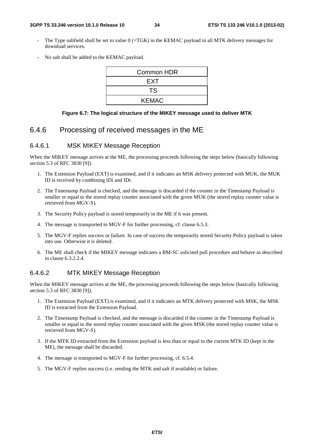- The Type subfield shall be set to value  $0$  (=TGK) in the KEMAC payload in all MTK delivery messages for download services.
- No salt shall be added to the KEMAC payload.

| Common HDR   |  |  |  |
|--------------|--|--|--|
| <b>EXT</b>   |  |  |  |
| TS           |  |  |  |
| <b>KEMAC</b> |  |  |  |

#### **Figure 6.7: The logical structure of the MIKEY message used to deliver MTK**

### 6.4.6 Processing of received messages in the ME

#### 6.4.6.1 MSK MIKEY Message Reception

When the MIKEY message arrives at the ME, the processing proceeds following the steps below (basically following section 5.3 of RFC 3830 [9]).

- 1. The Extension Payload (EXT) is examined, and if it indicates an MSK delivery protected with MUK, the MUK ID is received by combining IDi and IDr.
- 2. The Timestamp Payload is checked, and the message is discarded if the counter in the Timestamp Payload is smaller or equal to the stored replay counter associated with the given MUK (the stored replay counter value is retrieved from MGV-S).
- 3. The Security Policy payload is stored temporarily in the ME if it was present.
- 4. The message is transported to MGV-F for further processing, cf. clause 6.5.3.
- 5. The MGV-F replies success or failure. In case of success the temporarily stored Security Policy payload is taken into use. Otherwise it is deleted.
- 6. The ME shall check if the MIKEY message indicates a BM-SC solicited pull procedure and behave as described in clause 6.3.2.2.4.

#### 6.4.6.2 MTK MIKEY Message Reception

When the MIKEY message arrives at the ME, the processing proceeds following the steps below (basically following section 5.3 of RFC 3830 [9]).

- 1. The Extension Payload (EXT) is examined, and if it indicates an MTK delivery protected with MSK, the MSK ID is extracted from the Extension Payload.
- 2. The Timestamp Payload is checked, and the message is discarded if the counter in the Timestamp Payload is smaller or equal to the stored replay counter associated with the given MSK (the stored replay counter value is retrieved from MGV-S).
- 3. If the MTK ID extracted from the Extension payload is less than or equal to the current MTK ID (kept in the ME), the message shall be discarded.
- 4. The message is transported to MGV-F for further processing, cf. 6.5.4.
- 5. The MGV-F replies success (i.e. sending the MTK and salt if available) or failure.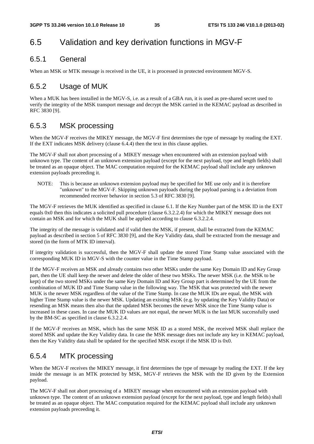## 6.5 Validation and key derivation functions in MGV-F

### 6.5.1 General

When an MSK or MTK message is received in the UE, it is processed in protected environment MGV-S.

### 6.5.2 Usage of MUK

When a MUK has been installed in the MGV-S, i.e. as a result of a GBA run, it is used as pre-shared secret used to verify the integrity of the MSK transport message and decrypt the MSK carried in the KEMAC payload as described in RFC 3830 [9].

### 6.5.3 MSK processing

When the MGV-F receives the MIKEY message, the MGV-F first determines the type of message by reading the EXT. If the EXT indicates MSK delivery (clause 6.4.4) then the text in this clause applies.

The MGV-F shall not abort processing of a MIKEY message when encountered with an extension payload with unknown type. The content of an unknown extension payload (except for the next payload, type and length fields) shall be treated as an opaque object. The MAC computation required for the KEMAC payload shall include any unknown extension payloads preceeding it.

NOTE: This is because an unknown extension payload may be specified for ME use only and it is therefore "unknown" to the MGV-F. Skipping unknown payloads during the payload parsing is a deviation from recommended receiver behavior in section 5.3 of RFC 3830 [9].

The MGV-F retrieves the MUK identified as specified in clause 6.1. If the Key Number part of the MSK ID in the EXT equals 0x0 then this indicates a solicited pull procedure (clause 6.3.2.2.4) for which the MIKEY message does not contain an MSK and for which the MUK shall be applied according to clause 6.3.2.2.4.

The integrity of the message is validated and if valid then the MSK, if present, shall be extracted from the KEMAC payload as described in section 5 of RFC 3830 [9], and the Key Validity data, shall be extracted from the message and stored (in the form of MTK ID interval).

If integrity validation is successful, then the MGV-F shall update the stored Time Stamp value associated with the corresponding MUK ID in MGV-S with the counter value in the Time Stamp payload.

If the MGV-F receives an MSK and already contains two other MSKs under the same Key Domain ID and Key Group part, then the UE shall keep the newer and delete the older of these two MSKs. The newer MSK (i.e. the MSK to be kept) of the two stored MSKs under the same Key Domain ID and Key Group part is determined by the UE from the combination of MUK ID and Time Stamp value in the following way. The MSK that was protected with the newer MUK is the newer MSK regardless of the value of the Time Stamp. In case the MUK IDs are equal, the MSK with higher Time Stamp value is the newer MSK. Updating an existing MSK (e.g. by updating the Key Validity Data) or resending an MSK means then also that the updated MSK becomes the newer MSK since the Time Stamp value is increased in these cases. In case the MUK ID values are not equal, the newer MUK is the last MUK successfully used by the BM-SC as specified in clause 6.3.2.2.4.

If the MGV-F receives an MSK, which has the same MSK ID as a stored MSK, the received MSK shall replace the stored MSK and update the Key Validity data. In case the MSK message does not include any key in KEMAC payload, then the Key Validity data shall be updated for the specified MSK except if the MSK ID is 0x0.

### 6.5.4 MTK processing

When the MGV-F receives the MIKEY message, it first determines the type of message by reading the EXT. If the key inside the message is an MTK protected by MSK, MGV-F retrieves the MSK with the ID given by the Extension payload.

The MGV-F shall not abort processing of a MIKEY message when encountered with an extension payload with unknown type. The content of an unknown extension payload (except for the next payload, type and length fields) shall be treated as an opaque object. The MAC computation required for the KEMAC payload shall include any unknown extension payloads preceeding it.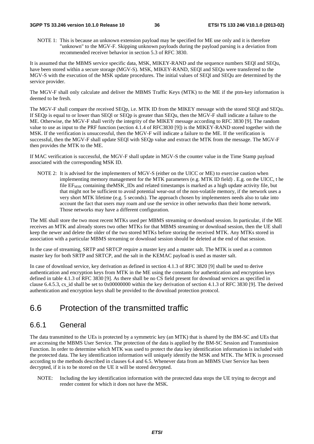#### **3GPP TS 33.246 version 10.1.0 Release 10 36 ETSI TS 133 246 V10.1.0 (2013-02)**

NOTE 1: This is because an unknown extension payload may be specified for ME use only and it is therefore "unknown" to the MGV-F. Skipping unknown payloads during the payload parsing is a deviation from recommended receiver behavior in section 5.3 of RFC 3830.

It is assumed that the MBMS service specific data, MSK, MIKEY-RAND and the sequence numbers SEQl and SEQu, have been stored within a secure storage (MGV-S). MSK, MIKEY-RAND, SEOI and SEOu were transferred to the MGV-S with the execution of the MSK update procedures. The initial values of SEQl and SEQu are determined by the service provider.

The MGV-F shall only calculate and deliver the MBMS Traffic Keys (MTK) to the ME if the ptm-key information is deemed to be fresh.

The MGV-F shall compare the received SEQp, i.e. MTK ID from the MIKEY message with the stored SEQl and SEQu. If SEQp is equal to or lower than SEQl or SEQp is greater than SEQu, then the MGV-F shall indicate a failure to the ME. Otherwise, the MGV-F shall verify the integrity of the MIKEY message according to RFC 3830 [9]. The random value to use as input to the PRF function (section 4.1.4 of RFC3830 [9]) is the MIKEY-RAND stored together with the MSK. If the verification is unsuccessful, then the MGV-F will indicate a failure to the ME. If the verification is successful, then the MGV-F shall update SEQl with SEQp value and extract the MTK from the message. The MGV-F then provides the MTK to the ME.

If MAC verification is successful, the MGV-F shall update in MGV-S the counter value in the Time Stamp payload associated with the corresponding MSK ID.

NOTE 2: It is advised for the implementers of MGV-S (either on the UICC or ME) to exercise caution when implementing memory management for the MTK parameters (e.g. MTK ID field) . E.g. on the UICC, t he file EF<sub>MSK</sub> containing theMSK\_IDs and related timestamps is marked as a high update activity file, but that might not be sufficient to avoid potential wear-out of the non-volatile memory, if the network uses a very short MTK lifetime (e.g. 5 seconds). The approach chosen by implementers needs also to take into account the fact that users may roam and use the service in other networks than their home network. Those networks may have a different configuration.

The ME shall store the two most recent MTKs used per MBMS streaming or download session. In particular, if the ME receives an MTK and already stores two other MTKs for that MBMS streaming or download session, then the UE shall keep the newer and delete the older of the two stored MTKs before storing the received MTK. Any MTKs stored in association with a particular MBMS streaming or download session should be deleted at the end of that session.

In the case of streaming, SRTP and SRTCP require a master key and a master salt. The MTK is used as a common master key for both SRTP and SRTCP, and the salt in the KEMAC payload is used as master salt.

In case of download service, key derivation as defined in section 4.1.3 of RFC 3820 [9] shall be used to derive authentication and encryption keys from MTK in the ME using the constants for authentication and encryption keys defined in table 4.1.3 of RFC 3830 [9]. As there shall be no CS field present for download services as specified in clause 6.4.5.3, cs\_id shall be set to 0x00000000 within the key derivation of section 4.1.3 of RFC 3830 [9]. The derived authentication and encryption keys shall be provided to the download protection protocol.

## 6.6 Protection of the transmitted traffic

### 6.6.1 General

The data transmitted to the UEs is protected by a symmetric key (an MTK) that is shared by the BM-SC and UEs that are accessing the MBMS User Service. The protection of the data is applied by the BM-SC Session and Transmission Function. In order to determine which MTK was used to protect the data key identification information is included with the protected data. The key identification information will uniquely identify the MSK and MTK. The MTK is processed according to the methods described in clauses 6.4 and 6.5. Whenever data from an MBMS User Service has been decrypted, if it is to be stored on the UE it will be stored decrypted.

NOTE: Including the key identification information with the protected data stops the UE trying to decrypt and render content for which it does not have the MSK.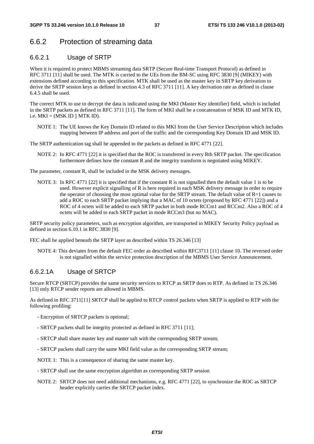### 6.6.2 Protection of streaming data

### 6.6.2.1 Usage of SRTP

When it is required to protect MBMS streaming data SRTP (Secure Real-time Transport Protocol) as defined in RFC 3711 [11] shall be used. The MTK is carried to the UEs from the BM-SC using RFC 3830 [9] (MIKEY) with extensions defined according to this specification. MTK shall be used as the master key in SRTP key derivation to derive the SRTP session keys as defined in section 4.3 of RFC 3711 [11]. A key derivation rate as defined in clause 6.4.5 shall be used.

The correct MTK to use to decrypt the data is indicated using the MKI (Master Key identifier) field, which is included in the SRTP packets as defined in RFC 3711 [11]. The form of MKI shall be a concatenation of MSK ID and MTK ID, i.e.  $MKI = (MSK ID || MTK ID)$ .

NOTE 1: The UE knows the Key Domain ID related to this MKI from the User Service Description which includes mapping between IP address and port of the traffic and the corresponding Key Domain ID and MSK ID.

The SRTP authentication tag shall be appended to the packets as defined in RFC 4771 [22].

NOTE 2: In RFC 4771 [22] it is specified that the ROC is transferred in every Rth SRTP packet. The specification furthermore defines how the constant R and the integrity transform is negotiated using MIKEY.

The parameter, constant R, shall be included in the MSK delivery messages.

NOTE 3: In RFC 4771 [22] it is specified that if the constant R is not signalled then the default value 1 is to be used. However explicit signalling of R is here required in each MSK delivery message in order to require the operator of choosing the most optimal value for the SRTP stream. The default value of R=1 causes to add a ROC to each SRTP packet implying that a MAC of 10 octets (proposed by RFC 4771 [22]) and a ROC of 4 octets will be added to each SRTP packet in both mode RCCm1 and RCCm2. Also a ROC of 4 octets will be added to each SRTP packet in mode RCCm3 (but no MAC).

SRTP security policy parameters, such as encryption algorithm, are transported in MIKEY Security Policy payload as defined in section 6.10.1 in RFC 3830 [9].

FEC shall be applied beneath the SRTP layer as described within TS 26.346 [13]

NOTE 4: This deviates from the default FEC order as described within RFC3711 [11] clause 10. The reversed order is not signalled within the service protection description of the MBMS User Service Announcement.

### 6.6.2.1A Usage of SRTCP

Secure RTCP (SRTCP) provides the same security services to RTCP as SRTP does to RTP. As defined in TS 26.346 [13] only RTCP sender reports are allowed in MBMS.

As defined in RFC 3711[11] SRTCP shall be applied to RTCP control packets when SRTP is applied to RTP with the following profiling:

- Encryption of SRTCP packets is optional;
- SRTCP packets shall be integrity protected as defined in RFC 3711 [11];
- SRTCP shall share master key and master salt with the corresponding SRTP stream;
- SRTCP packets shall carry the same MKI field value as the corresponding SRTP stream;

NOTE 1: This is a consequence of sharing the same master key.

- SRTCP shall use the same encryption algorithm as corresponding SRTP session
- NOTE 2: SRTCP does not need additional mechanisms, e.g. RFC 4771 [22], to synchronize the ROC as SRTCP header explicitly carries the SRTCP packet index.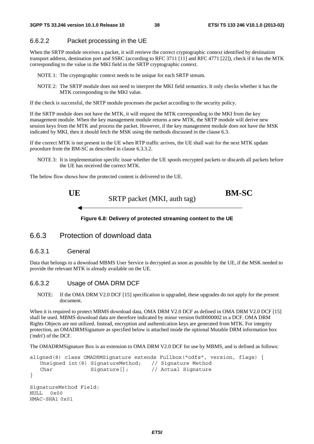### 6.6.2.2 Packet processing in the UE

When the SRTP module receives a packet, it will retrieve the correct cryptographic context identified by destination transport address, destination port and SSRC (according to RFC 3711 [11] and RFC 4771 [22]), check if it has the MTK corresponding to the value in the MKI field in the SRTP cryptographic context.

- NOTE 1: The cryptographic context needs to be unique for each SRTP stream.
- NOTE 2: The SRTP module does not need to interpret the MKI field semantics. It only checks whether it has the MTK corresponding to the MKI value.

If the check is successful, the SRTP module processes the packet according to the security policy.

If the SRTP module does not have the MTK, it will request the MTK corresponding to the MKI from the key management module. When the key management module returns a new MTK, the SRTP module will derive new session keys from the MTK and process the packet. However, if the key management module does not have the MSK indicated by MKI, then it should fetch the MSK using the methods discussed in the clause 6.3.

If the correct MTK is not present in the UE when RTP traffic arrives, the UE shall wait for the next MTK update procedure from the BM-SC as described in clause 6.3.3.2.

NOTE 3: It is implementation specific issue whether the UE spools encrypted packets or discards all packets before the UE has received the correct MTK.

The below flow shows how the protected content is delivered to the UE.



**Figure 6.8: Delivery of protected streaming content to the UE** 

### 6.6.3 Protection of download data

#### 6.6.3.1 General

HMAC-SHA1 0x01

Data that belongs to a download MBMS User Service is decrypted as soon as possible by the UE, if the MSK needed to provide the relevant MTK is already available on the UE.

#### 6.6.3.2 Usage of OMA DRM DCF

NOTE: If the OMA DRM V2.0 DCF [15] specification is upgraded, these upgrades do not apply for the present document.

When it is required to protect MBMS download data, OMA DRM V2.0 DCF as defined in OMA DRM V2.0 DCF [15] shall be used. MBMS download data are therefore indicated by minor version 0x00000002 in a DCF. OMA DRM Rights Objects are not utilized. Instead, encryption and authentication keys are generated from MTK. For integrity protection, an OMADRMSignature as specified below is attached inside the optional Mutable DRM information box ('mdri') of the DCF.

The OMADRMSignature Box is an extension to OMA DRM V2.0 DCF for use by MBMS, and is defined as follows:

```
aligned(8) class OMADRMSignature extends Fullbox("odfs", version, flags) { 
    Unsigned int(8) SignatureMethod; // Signature Method 
   Char Signature[]; // Actual Signature
} 
SignatureMethod Field: 
NULL, 0 \times 0
```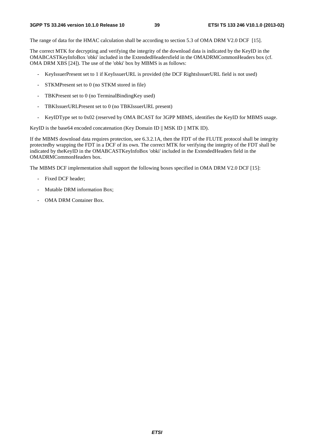The range of data for the HMAC calculation shall be according to section 5.3 of OMA DRM V2.0 DCF [15].

The correct MTK for decrypting and verifying the integrity of the download data is indicated by the KeyID in the OMABCASTKeyInfoBox 'obki' included in the ExtendedHeadersfield in the OMADRMCommonHeaders box (cf. OMA DRM XBS [24]). The use of the 'obki' box by MBMS is as follows:

- KeyIssuerPresent set to 1 if KeyIssuerURL is provided (the DCF RightsIssuerURL field is not used)
- STKMPresent set to 0 (no STKM stored in file)
- TBKPresent set to 0 (no TerminalBindingKey used)
- TBKIssuerURLPresent set to 0 (no TBKIssuerURL present)
- KeyIDType set to 0x02 (reserved by OMA BCAST for 3GPP MBMS, identifies the KeyID for MBMS usage.

KeyID is the base64 encoded concatenation (Key Domain ID  $\parallel$  MSK ID  $\parallel$  MTK ID).

If the MBMS download data requires protection, see 6.3.2.1A, then the FDT of the FLUTE protocol shall be integrity protectedby wrapping the FDT in a DCF of its own. The correct MTK for verifying the integrity of the FDT shall be indicated by theKeyID in the OMABCASTKeyInfoBox 'obki' included in the ExtendedHeaders field in the OMADRMCommonHeaders box.

The MBMS DCF implementation shall support the following boxes specified in OMA DRM V2.0 DCF [15]:

- Fixed DCF header;
- Mutable DRM information Box:
- OMA DRM Container Box.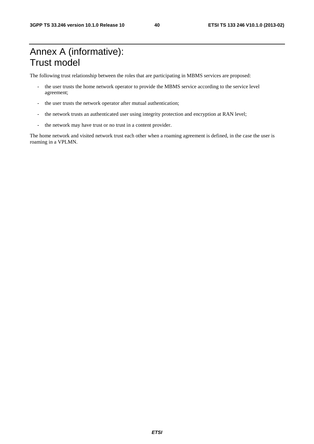## Annex A (informative): Trust model

The following trust relationship between the roles that are participating in MBMS services are proposed:

- the user trusts the home network operator to provide the MBMS service according to the service level agreement;
- the user trusts the network operator after mutual authentication;
- the network trusts an authenticated user using integrity protection and encryption at RAN level;
- the network may have trust or no trust in a content provider.

The home network and visited network trust each other when a roaming agreement is defined, in the case the user is roaming in a VPLMN.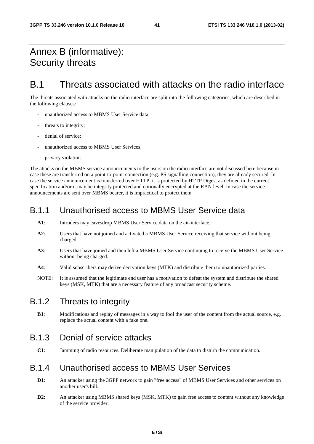## Annex B (informative): Security threats

## B.1 Threats associated with attacks on the radio interface

The threats associated with attacks on the radio interface are split into the following categories, which are described in the following clauses:

- unauthorized access to MBMS User Service data:
- threats to integrity:
- denial of service;
- unauthorized access to MBMS User Services:
- privacy violation.

The attacks on the MBMS service announcements to the users on the radio interface are not discussed here because in case these are transferred on a point-to-point connection (e.g. PS signalling connection), they are already secured. In case the service announcement is transferred over HTTP, it is protected by HTTP Digest as defined in the current specification and/or it may be integrity protected and optionally encrypted at the RAN level. In case the service announcements are sent over MBMS bearer, it is impractical to protect them.

### B.1.1 Unauthorised access to MBMS User Service data

- **A1**: Intruders may eavesdrop MBMS User Service data on the air-interface.
- **A2**: Users that have not joined and activated a MBMS User Service receiving that service without being charged.
- **A3**: Users that have joined and then left a MBMS User Service continuing to receive the MBMS User Service without being charged.
- **A4**: Valid subscribers may derive decryption keys (MTK) and distribute them to unauthorized parties.
- NOTE: It is assumed that the legitimate end user has a motivation to defeat the system and distribute the shared keys (MSK, MTK) that are a necessary feature of any broadcast security scheme.

### B.1.2 Threats to integrity

**B1**: Modifications and replay of messages in a way to fool the user of the content from the actual source, e.g. replace the actual content with a fake one.

## B.1.3 Denial of service attacks

**C1**: Jamming of radio resources. Deliberate manipulation of the data to disturb the communication.

### B.1.4 Unauthorised access to MBMS User Services

- **D1:** An attacker using the 3GPP network to gain "free access" of MBMS User Services and other services on another user's bill.
- **D2**: An attacker using MBMS shared keys (MSK, MTK) to gain free access to content without any knowledge of the service provider.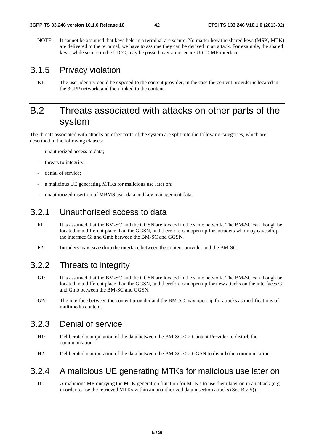NOTE: It cannot be assumed that keys held in a terminal are secure. No matter how the shared keys (MSK, MTK) are delivered to the terminal, we have to assume they can be derived in an attack. For example, the shared keys, while secure in the UICC, may be passed over an insecure UICC-ME interface.

### B.1.5 Privacy violation

**E1**: The user identity could be exposed to the content provider, in the case the content provider is located in the 3GPP network, and then linked to the content.

## B.2 Threats associated with attacks on other parts of the system

The threats associated with attacks on other parts of the system are split into the following categories, which are described in the following clauses:

- unauthorized access to data;
- threats to integrity;
- denial of service:
- a malicious UE generating MTKs for malicious use later on;
- unauthorized insertion of MBMS user data and key management data.

### B.2.1 Unauthorised access to data

- **F1**: It is assumed that the BM-SC and the GGSN are located in the same network. The BM-SC can though be located in a different place than the GGSN, and therefore can open up for intruders who may eavesdrop the interface Gi and Gmb between the BM-SC and GGSN.
- **F2**: Intruders may eavesdrop the interface between the content provider and the BM-SC.

## B.2.2 Threats to integrity

- **G1**: It is assumed that the BM-SC and the GGSN are located in the same network. The BM-SC can though be located in a different place than the GGSN, and therefore can open up for new attacks on the interfaces Gi and Gmb between the BM-SC and GGSN.
- **G2:** The interface between the content provider and the BM-SC may open up for attacks as modifications of multimedia content.

## B.2.3 Denial of service

- **H1**: Deliberated manipulation of the data between the BM-SC <-> Content Provider to disturb the communication.
- **H2**: Deliberated manipulation of the data between the BM-SC <-> GGSN to disturb the communication.

## B.2.4 A malicious UE generating MTKs for malicious use later on

**I1**: A malicious ME querying the MTK generation function for MTK's to use them later on in an attack (e.g. in order to use the retrieved MTKs within an unauthorized data insertion attacks (See B.2.5)).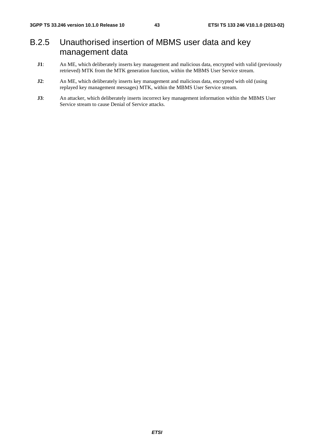## B.2.5 Unauthorised insertion of MBMS user data and key management data

- **J1**: An ME, which deliberately inserts key management and malicious data, encrypted with valid (previously retrieved) MTK from the MTK generation function, within the MBMS User Service stream.
- **J2**: An ME, which deliberately inserts key management and malicious data, encrypted with old (using replayed key management messages) MTK, within the MBMS User Service stream.
- **J3**: An attacker, which deliberately inserts incorrect key management information within the MBMS User Service stream to cause Denial of Service attacks.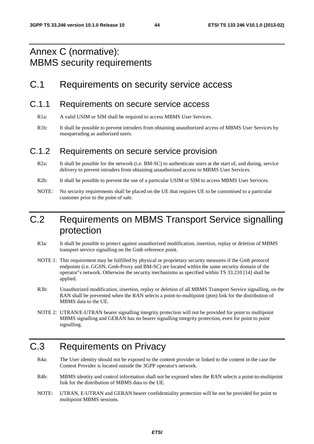## Annex C (normative): MBMS security requirements

## C.1 Requirements on security service access

### C.1.1 Requirements on secure service access

- R1a: A valid USIM or SIM shall be required to access MBMS User Services.
- R1b: It shall be possible to prevent intruders from obtaining unauthorized access of MBMS User Services by masquerading as authorized users.

### C.1.2 Requirements on secure service provision

- R2a: It shall be possible for the network (i.e. BM-SC) to authenticate users at the start of, and during, service delivery to prevent intruders from obtaining unauthorized access to MBMS User Services.
- R2b: It shall be possible to prevent the use of a particular USIM or SIM to access MBMS User Services.
- NOTE: No security requirements shall be placed on the UE that requires UE to be customised to a particular customer prior to the point of sale.

## C.2 Requirements on MBMS Transport Service signalling protection

- R3a: It shall be possible to protect against unauthorized modification, insertion, replay or deletion of MBMS transport service signalling on the Gmb reference point.
- NOTE 1: This requirement may be fulfilled by physical or proprietary security measures if the Gmb protocol endpoints (i.e. GGSN, Gmb-Proxy and BM-SC) are located within the same security domain of the operator"s network. Otherwise the security mechanisms as specified within TS 33.210 [14] shall be applied.
- R3b: Unauthorized modification, insertion, replay or deletion of all MBMS Transport Service signalling, on the RAN shall be prevented when the RAN selects a point-to-multipoint (ptm) link for the distribution of MBMS data to the UE.
- NOTE 2: UTRAN/E-UTRAN bearer signalling integrity protection will not be provided for point to multipoint MBMS signalling and GERAN has no bearer signalling integrity protection, even for point to point signalling.

## C.3 Requirements on Privacy

- R4a: The User identity should not be exposed to the content provider or linked to the content in the case the Content Provider is located outside the 3GPP operator's network.
- R4b: MBMS identity and control information shall not be exposed when the RAN selects a point-to-multipoint link for the distribution of MBMS data to the UE.
- NOTE: UTRAN, E-UTRAN and GERAN bearer confidentiality protection will be not be provided for point to multipoint MBMS sessions.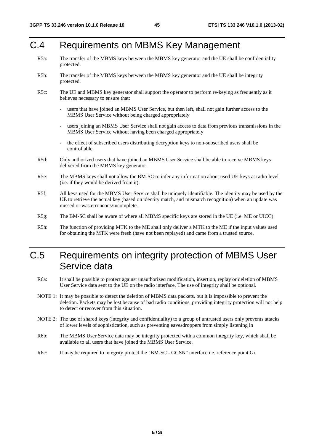## C.4 Requirements on MBMS Key Management

- R5a: The transfer of the MBMS keys between the MBMS key generator and the UE shall be confidentiality protected.
- R5b: The transfer of the MBMS keys between the MBMS key generator and the UE shall be integrity protected.
- R5c: The UE and MBMS key generator shall support the operator to perform re-keying as frequently as it believes necessary to ensure that:
	- users that have joined an MBMS User Service, but then left, shall not gain further access to the MBMS User Service without being charged appropriately
	- users joining an MBMS User Service shall not gain access to data from previous transmissions in the MBMS User Service without having been charged appropriately
	- the effect of subscribed users distributing decryption keys to non-subscribed users shall be controllable.
- R5d: Only authorized users that have joined an MBMS User Service shall be able to receive MBMS keys delivered from the MBMS key generator.
- R5e: The MBMS keys shall not allow the BM-SC to infer any information about used UE-keys at radio level (i.e. if they would be derived from it).
- R5f: All keys used for the MBMS User Service shall be uniquely identifiable. The identity may be used by the UE to retrieve the actual key (based on identity match, and mismatch recognition) when an update was missed or was erroneous/incomplete.
- R5g: The BM-SC shall be aware of where all MBMS specific keys are stored in the UE (i.e. ME or UICC).
- R5h: The function of providing MTK to the ME shall only deliver a MTK to the ME if the input values used for obtaining the MTK were fresh (have not been replayed) and came from a trusted source.

## C.5 Requirements on integrity protection of MBMS User Service data

- R6a: It shall be possible to protect against unauthorized modification, insertion, replay or deletion of MBMS User Service data sent to the UE on the radio interface. The use of integrity shall be optional.
- NOTE 1: It may be possible to detect the deletion of MBMS data packets, but it is impossible to prevent the deletion. Packets may be lost because of bad radio conditions, providing integrity protection will not help to detect or recover from this situation.
- NOTE 2: The use of shared keys (integrity and confidentiality) to a group of untrusted users only prevents attacks of lower levels of sophistication, such as preventing eavesdroppers from simply listening in
- R6b: The MBMS User Service data may be integrity protected with a common integrity key, which shall be available to all users that have joined the MBMS User Service.
- R6c: It may be required to integrity protect the "BM-SC GGSN" interface i.e. reference point Gi.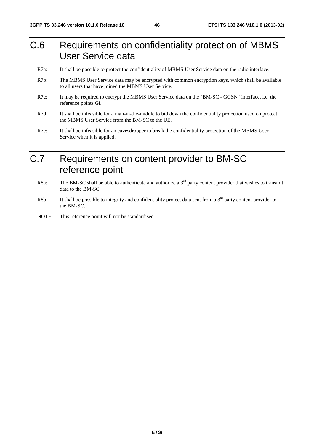## C.6 Requirements on confidentiality protection of MBMS User Service data

- R7a: It shall be possible to protect the confidentiality of MBMS User Service data on the radio interface.
- R7b: The MBMS User Service data may be encrypted with common encryption keys, which shall be available to all users that have joined the MBMS User Service.
- R7c: It may be required to encrypt the MBMS User Service data on the "BM-SC GGSN" interface, i.e. the reference points Gi.
- R7d: It shall be infeasible for a man-in-the-middle to bid down the confidentiality protection used on protect the MBMS User Service from the BM-SC to the UE.
- R7e: It shall be infeasible for an eavesdropper to break the confidentiality protection of the MBMS User Service when it is applied.

## C.7 Requirements on content provider to BM-SC reference point

- R8a: The BM-SC shall be able to authenticate and authorize a  $3<sup>rd</sup>$  party content provider that wishes to transmit data to the BM-SC.
- R8b: It shall be possible to integrity and confidentiality protect data sent from a  $3<sup>rd</sup>$  party content provider to the BM-SC.
- NOTE: This reference point will not be standardised.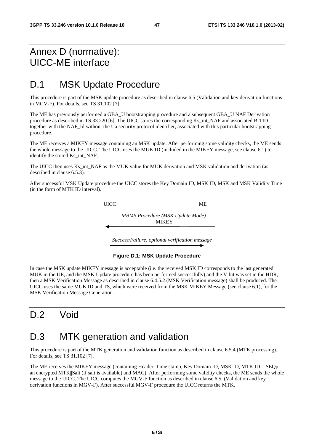## Annex D (normative): UICC-ME interface

## D.1 MSK Update Procedure

This procedure is part of the MSK update procedure as described in clause 6.5 (Validation and key derivation functions in MGV-F). For details, see TS 31.102 [7].

The ME has previously performed a GBA\_U bootstrapping procedure and a subsequent GBA\_U NAF Derivation procedure as described in TS 33.220 [6]. The UICC stores the corresponding Ks\_int\_NAF and associated B-TID together with the NAF\_Id without the Ua security protocol identifier, associated with this particular bootstrapping procedure.

The ME receives a MIKEY message containing an MSK update. After performing some validity checks, the ME sends the whole message to the UICC. The UICC uses the MUK ID (included in the MIKEY message, see clause 6.1) to identify the stored Ks\_int\_NAF.

The UICC then uses Ks\_int\_NAF as the MUK value for MUK derivation and MSK validation and derivation (as described in clause 6.5.3).

After successful MSK Update procedure the UICC stores the Key Domain ID, MSK ID, MSK and MSK Validity Time (in the form of MTK ID interval).

UICC ME

*MBMS Procedure (MSK Update Mode)*  **MIKEY** 

*Success/Failure, optional verification message* 

#### **Figure D.1: MSK Update Procedure**

In case the MSK update MIKEY message is acceptable (i.e. the received MSK ID corresponds to the last generated MUK in the UE, and the MSK Update procedure has been performed successfully) and the V-bit was set in the HDR, then a MSK Verification Message as described in clause 6.4.5.2 (MSK Verification message) shall be produced. The UICC uses the same MUK ID and TS, which were received from the MSK MIKEY Message (see clause 6.1), for the MSK Verification Message Generation.

## D.2 Void

## D.3 MTK generation and validation

This procedure is part of the MTK generation and validation function as described in clause 6.5.4 (MTK processing). For details, see TS 31.102 [7].

The ME receives the MIKEY message (containing Header, Time stamp, Key Domain ID, MSK ID, MTK ID = SEQp, an encrypted MTK||Salt (if salt is available) and MAC). After performing some validity checks, the ME sends the whole message to the UICC. The UICC computes the MGV-F function as described in clause 6.5. (Validation and key derivation functions in MGV-F). After successful MGV-F procedure the UICC returns the MTK.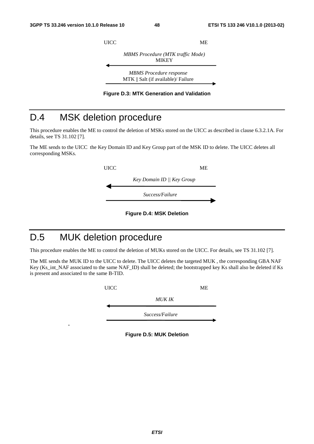



## D.4 MSK deletion procedure

This procedure enables the ME to control the deletion of MSKs stored on the UICC as described in clause 6.3.2.1A. For details, see TS 31.102 [7].

The ME sends to the UICC the Key Domain ID and Key Group part of the MSK ID to delete. The UICC deletes all corresponding MSKs.



**Figure D.4: MSK Deletion** 

## D.5 MUK deletion procedure

**.**

This procedure enables the ME to control the deletion of MUKs stored on the UICC. For details, see TS 31.102 [7].

The ME sends the MUK ID to the UICC to delete. The UICC deletes the targeted MUK , the corresponding GBA NAF Key (Ks\_int\_NAF associated to the same NAF\_ID) shall be deleted; the bootstrapped key Ks shall also be deleted if Ks is present and associated to the same B-TID.

> UICC ME *MUK IK*

> > *Success/Failure*

**Figure D.5: MUK Deletion**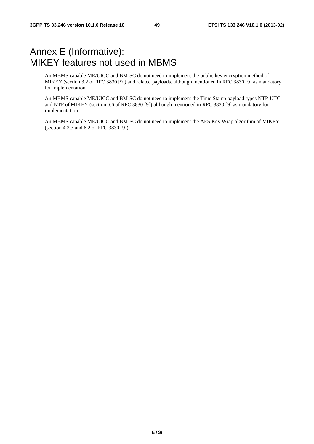## Annex E (Informative): MIKEY features not used in MBMS

- An MBMS capable ME/UICC and BM-SC do not need to implement the public key encryption method of MIKEY (section 3.2 of RFC 3830 [9]) and related payloads, although mentioned in RFC 3830 [9] as mandatory for implementation.
- An MBMS capable ME/UICC and BM-SC do not need to implement the Time Stamp payload types NTP-UTC and NTP of MIKEY (section 6.6 of RFC 3830 [9]) although mentioned in RFC 3830 [9] as mandatory for implementation.
- An MBMS capable ME/UICC and BM-SC do not need to implement the AES Key Wrap algorithm of MIKEY (section 4.2.3 and 6.2 of RFC 3830 [9]).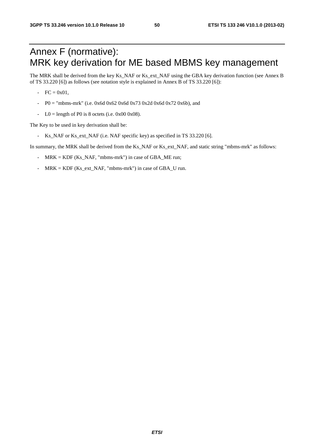## Annex F (normative): MRK key derivation for ME based MBMS key management

The MRK shall be derived from the key Ks\_NAF or Ks\_ext\_NAF using the GBA key derivation function (see Annex B of TS 33.220 [6]) as follows (see notation style is explained in Annex B of TS 33.220 [6]):

- $FC = 0x01,$
- $P0 =$  "mbms-mrk" (i.e. 0x6d 0x62 0x6d 0x73 0x2d 0x6d 0x72 0x6b), and
- $LO =$  length of P0 is 8 octets (i.e. 0x00 0x08).

The Key to be used in key derivation shall be:

Ks\_NAF or Ks\_ext\_NAF (i.e. NAF specific key) as specified in TS 33.220 [6].

In summary, the MRK shall be derived from the Ks\_NAF or Ks\_ext\_NAF, and static string "mbms-mrk" as follows:

- MRK = KDF (Ks\_NAF, "mbms-mrk") in case of GBA\_ME run;
- MRK = KDF (Ks\_ext\_NAF, "mbms-mrk") in case of GBA\_U run.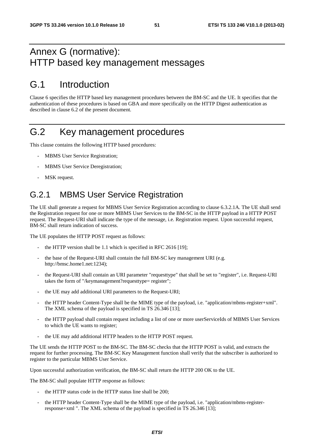## Annex G (normative): HTTP based key management messages

## G.1 Introduction

Clause 6 specifies the HTTP based key management procedures between the BM-SC and the UE. It specifies that the authentication of these procedures is based on GBA and more specifically on the HTTP Digest authentication as described in clause 6.2 of the present document.

## G.2 Key management procedures

This clause contains the following HTTP based procedures:

- MBMS User Service Registration;
- MBMS User Service Deregistration;
- MSK request.

## G.2.1 MBMS User Service Registration

The UE shall generate a request for MBMS User Service Registration according to clause 6.3.2.1A. The UE shall send the Registration request for one or more MBMS User Services to the BM-SC in the HTTP payload in a HTTP POST request. The Request-URI shall indicate the type of the message, i.e. Registration request. Upon successful request, BM-SC shall return indication of success.

The UE populates the HTTP POST request as follows:

- the HTTP version shall be 1.1 which is specified in RFC 2616 [19];
- the base of the Request-URI shall contain the full BM-SC key management URI (e.g. http://bmsc.home1.net:1234);
- the Request-URI shall contain an URI parameter "requesttype" that shall be set to "register", i.e. Request-URI takes the form of "/keymanagement?requesttype= register";
- the UE may add additional URI parameters to the Request-URI;
- the HTTP header Content-Type shall be the MIME type of the payload, i.e. "application/mbms-register+xml". The XML schema of the payload is specified in TS 26.346 [13];
- the HTTP payload shall contain request including a list of one or more userServiceIds of MBMS User Services to which the UE wants to register;
- the UE may add additional HTTP headers to the HTTP POST request.

The UE sends the HTTP POST to the BM-SC. The BM-SC checks that the HTTP POST is valid, and extracts the request for further processing. The BM-SC Key Management function shall verify that the subscriber is authorized to register to the particular MBMS User Service.

Upon successful authorization verification, the BM-SC shall return the HTTP 200 OK to the UE.

The BM-SC shall populate HTTP response as follows:

- the HTTP status code in the HTTP status line shall be 200;
- the HTTP header Content-Type shall be the MIME type of the payload, i.e. "application/mbms-registerresponse+xml ". The XML schema of the payload is specified in TS 26.346 [13];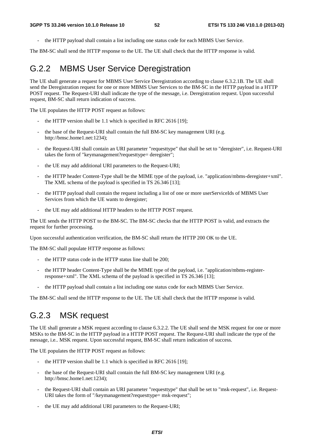- the HTTP payload shall contain a list including one status code for each MBMS User Service.

The BM-SC shall send the HTTP response to the UE. The UE shall check that the HTTP response is valid.

## G.2.2 MBMS User Service Deregistration

The UE shall generate a request for MBMS User Service Deregistration according to clause 6.3.2.1B. The UE shall send the Deregistration request for one or more MBMS User Services to the BM-SC in the HTTP payload in a HTTP POST request. The Request-URI shall indicate the type of the message, i.e. Deregistration request. Upon successful request, BM-SC shall return indication of success.

The UE populates the HTTP POST request as follows:

- the HTTP version shall be 1.1 which is specified in RFC 2616  $[19]$ ;
- the base of the Request-URI shall contain the full BM-SC key management URI (e.g. http://bmsc.home1.net:1234);
- the Request-URI shall contain an URI parameter "requesttype" that shall be set to "deregister", i.e. Request-URI takes the form of "keymanagement?requesttype= deregister";
- the UE may add additional URI parameters to the Request-URI;
- the HTTP header Content-Type shall be the MIME type of the payload, i.e. "application/mbms-deregister+xml". The XML schema of the payload is specified in TS 26.346 [13];
- the HTTP payload shall contain the request including a list of one or more userServiceIds of MBMS User Services from which the UE wants to deregister;
- the UE may add additional HTTP headers to the HTTP POST request.

The UE sends the HTTP POST to the BM-SC. The BM-SC checks that the HTTP POST is valid, and extracts the request for further processing.

Upon successful authentication verification, the BM-SC shall return the HTTP 200 OK to the UE.

The BM-SC shall populate HTTP response as follows:

- the HTTP status code in the HTTP status line shall be 200;
- the HTTP header Content-Type shall be the MIME type of the payload, i.e. "application/mbms-registerresponse+xml". The XML schema of the payload is specified in TS 26.346 [13];
- the HTTP payload shall contain a list including one status code for each MBMS User Service.

The BM-SC shall send the HTTP response to the UE. The UE shall check that the HTTP response is valid.

## G.2.3 MSK request

The UE shall generate a MSK request according to clause 6.3.2.2. The UE shall send the MSK request for one or more MSKs to the BM-SC in the HTTP payload in a HTTP POST request. The Request-URI shall indicate the type of the message, i.e.. MSK request. Upon successful request, BM-SC shall return indication of success.

The UE populates the HTTP POST request as follows:

- the HTTP version shall be  $1.1$  which is specified in RFC 2616 [19];
- the base of the Request-URI shall contain the full BM-SC key management URI (e.g. http://bmsc.home1.net:1234);
- the Request-URI shall contain an URI parameter "requesttype" that shall be set to "msk-request", i.e. Request-URI takes the form of "/keymanagement?requesttype= msk-request";
- the UE may add additional URI parameters to the Request-URI;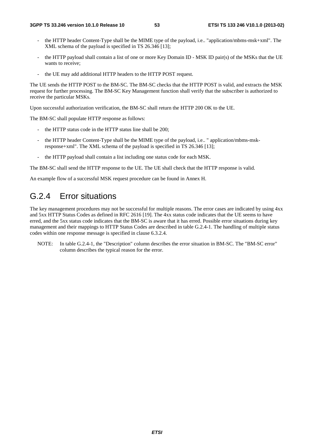- the HTTP header Content-Type shall be the MIME type of the payload, i.e.. "application/mbms-msk+xml". The XML schema of the payload is specified in TS 26.346 [13];
- the HTTP payload shall contain a list of one or more Key Domain ID MSK ID pair(s) of the MSKs that the UE wants to receive;
- the UE may add additional HTTP headers to the HTTP POST request.

The UE sends the HTTP POST to the BM-SC. The BM-SC checks that the HTTP POST is valid, and extracts the MSK request for further processing. The BM-SC Key Management function shall verify that the subscriber is authorized to receive the particular MSKs.

Upon successful authorization verification, the BM-SC shall return the HTTP 200 OK to the UE.

The BM-SC shall populate HTTP response as follows:

- the HTTP status code in the HTTP status line shall be 200;
- the HTTP header Content-Type shall be the MIME type of the payload, i.e.. " application/mbms-mskresponse+xml". The XML schema of the payload is specified in TS 26.346 [13];
- the HTTP payload shall contain a list including one status code for each MSK.

The BM-SC shall send the HTTP response to the UE. The UE shall check that the HTTP response is valid.

An example flow of a successful MSK request procedure can be found in Annex H.

## G.2.4 Error situations

The key management procedures may not be successful for multiple reasons. The error cases are indicated by using 4xx and 5xx HTTP Status Codes as defined in RFC 2616 [19]. The 4xx status code indicates that the UE seems to have erred, and the 5xx status code indicates that the BM-SC is aware that it has erred. Possible error situations during key management and their mappings to HTTP Status Codes are described in table G.2.4-1. The handling of multiple status codes within one response message is specified in clause 6.3.2.4.

NOTE: In table G.2.4-1, the "Description" column describes the error situation in BM-SC. The "BM-SC error" column describes the typical reason for the error.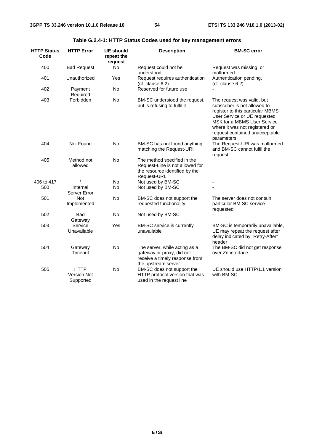| <b>HTTP Status</b><br>Code | <b>HTTP Error</b>                              | <b>UE should</b><br>repeat the<br>request | <b>Description</b>                                                                                                  | <b>BM-SC error</b>                                                                                                                                                                                                                              |
|----------------------------|------------------------------------------------|-------------------------------------------|---------------------------------------------------------------------------------------------------------------------|-------------------------------------------------------------------------------------------------------------------------------------------------------------------------------------------------------------------------------------------------|
| 400                        | <b>Bad Request</b>                             | <b>No</b>                                 | Request could not be<br>understood                                                                                  | Request was missing, or<br>malformed                                                                                                                                                                                                            |
| 401                        | Unauthorized                                   | Yes                                       | Request requires authentication<br>(cf. clause 6.2)                                                                 | Authentication pending,<br>(cf. clause 6.2)                                                                                                                                                                                                     |
| 402                        | Payment<br>Required                            | <b>No</b>                                 | Reserved for future use                                                                                             |                                                                                                                                                                                                                                                 |
| 403                        | Forbidden                                      | <b>No</b>                                 | BM-SC understood the request,<br>but is refusing to fulfil it                                                       | The request was valid, but<br>subscriber is not allowed to<br>register to this particular MBMS<br>User Service or UE requested<br>MSK for a MBMS User Service<br>where it was not registered or<br>request contained unacceptable<br>parameters |
| 404                        | Not Found                                      | No                                        | BM-SC has not found anything<br>matching the Request-URI                                                            | The Request-URI was malformed<br>and BM-SC cannot fulfil the<br>request                                                                                                                                                                         |
| 405                        | Method not<br>allowed                          | No                                        | The method specified in the<br>Request-Line is not allowed for<br>the resource identified by the<br>Request-URI.    |                                                                                                                                                                                                                                                 |
| 406 to 417                 | $\star$                                        | <b>No</b>                                 | Not used by BM-SC                                                                                                   |                                                                                                                                                                                                                                                 |
| 500                        | Internal<br>Server Error                       | <b>No</b>                                 | Not used by BM-SC                                                                                                   |                                                                                                                                                                                                                                                 |
| 501                        | Not<br>Implemented                             | <b>No</b>                                 | BM-SC does not support the<br>requested functionality                                                               | The server does not contain<br>particular BM-SC service<br>requested                                                                                                                                                                            |
| 502                        | <b>Bad</b><br>Gateway                          | <b>No</b>                                 | Not used by BM-SC                                                                                                   |                                                                                                                                                                                                                                                 |
| 503                        | Service<br>Unavailable                         | Yes                                       | BM-SC service is currently<br>unavailable                                                                           | BM-SC is temporarily unavailable,<br>UE may repeat the request after<br>delay indicated by "Retry-After"<br>header                                                                                                                              |
| 504                        | Gateway<br>Timeout                             | <b>No</b>                                 | The server, while acting as a<br>gateway or proxy, did not<br>receive a timely response from<br>the upstream server | The BM-SC did not get response<br>over Zn interface.                                                                                                                                                                                            |
| 505                        | <b>HTTP</b><br><b>Version Not</b><br>Supported | No                                        | BM-SC does not support the<br>HTTP protocol version that was<br>used in the request line                            | UE should use HTTP/1.1 version<br>with BM-SC                                                                                                                                                                                                    |

### **Table G.2.4-1: HTTP Status Codes used for key management errors**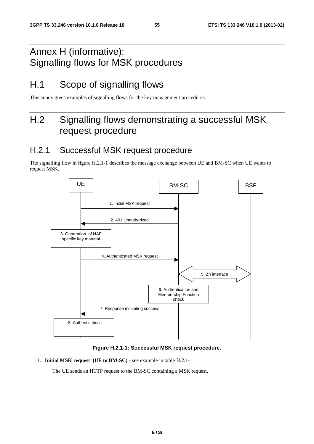## Annex H (informative): Signalling flows for MSK procedures

## H.1 Scope of signalling flows

This annex gives examples of signalling flows for the key management procedures.

## H.2 Signalling flows demonstrating a successful MSK request procedure

## H.2.1 Successful MSK request procedure

The signalling flow in figure H.2.1-1 describes the message exchange between UE and BM-SC when UE wants to request MSK.



**Figure H.2.1-1: Successful MSK request procedure.** 

1. **Initial MSK request (UE to BM-SC)** - see example in table H.2.1-1

The UE sends an HTTP request to the BM-SC containing a MSK request.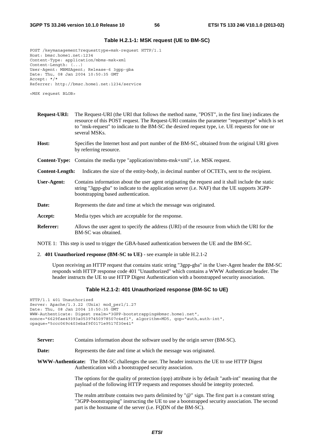#### **Table H.2.1-1: MSK request (UE to BM-SC)**

POST /keymanagement?requesttype=msk-request HTTP/1.1 Host: bmsc.home1.net:1234 Content-Type: application/mbms-msk+xml Content-Length: (...) User-Agent: MBMSAgent; Release-6 3gpp-gba Date: Thu, 08 Jan 2004 10:50:35 GMT Accept: \*/\* Referrer: http://bmsc.home1.net:1234/service

<MSK request BLOB>

| <b>Request-URI:</b>    | The Request-URI (the URI that follows the method name, "POST", in the first line) indicates the<br>resource of this POST request. The Request-URI contains the parameter "requesttype" which is set<br>to "msk-request" to indicate to the BM-SC the desired request type, i.e. UE requests for one or<br>several MSKs. |
|------------------------|-------------------------------------------------------------------------------------------------------------------------------------------------------------------------------------------------------------------------------------------------------------------------------------------------------------------------|
| Host:                  | Specifies the Internet host and port number of the BM-SC, obtained from the original URI given<br>by referring resource.                                                                                                                                                                                                |
|                        | <b>Content-Type:</b> Contains the media type "application/mbms-msk+xml", i.e. MSK request.                                                                                                                                                                                                                              |
| <b>Content-Length:</b> | Indicates the size of the entity-body, in decimal number of OCTETs, sent to the recipient.                                                                                                                                                                                                                              |
| User-Agent:            | Contains information about the user agent originating the request and it shall include the static<br>string "3gpp-gba" to indicate to the application server (i.e. NAF) that the UE supports 3GPP-<br>bootstrapping based authentication.                                                                               |
| Date:                  | Represents the date and time at which the message was originated.                                                                                                                                                                                                                                                       |
| Accept:                | Media types which are acceptable for the response.                                                                                                                                                                                                                                                                      |
| <b>Referrer:</b>       | Allows the user agent to specify the address (URI) of the resource from which the URI for the<br>BM-SC was obtained.                                                                                                                                                                                                    |

NOTE 1: This step is used to trigger the GBA-based authentication between the UE and the BM-SC.

2. **401 Unauthorized response (BM-SC to UE)** - see example in table H.2.1-2

 Upon receiving an HTTP request that contains static string "3gpp-gba" in the User-Agent header the BM-SC responds with HTTP response code 401 "Unauthorized" which contains a WWW Authenticate header. The header instructs the UE to use HTTP Digest Authentication with a bootstrapped security association.

#### **Table H.2.1-2: 401 Unauthorized response (BM-SC to UE)**

HTTP/1.1 401 Unauthorized Server: Apache/1.3.22 (Unix) mod\_perl/1.27 Date: Thu, 08 Jan 2004 10:50:35 GMT WWW-Authenticate: Digest realm="3GPP-bootstrapping@bmsc.home1.net", nonce="6629fae49393a05397450978507c4ef1", algorithm=MD5, qop="auth,auth-int", opaque="5ccc069c403ebaf9f0171e9517f30e41"

- **Server:** Contains information about the software used by the origin server (BM-SC).
- **Date:** Represents the date and time at which the message was originated.

**WWW-Authenticate:** The BM-SC challenges the user. The header instructs the UE to use HTTP Digest Authentication with a bootstrapped security association.

> The options for the quality of protection (qop) attribute is by default "auth-int" meaning that the payload of the following HTTP requests and responses should be integrity protected.

> The realm attribute contains two parts delimited by "@" sign. The first part is a constant string "3GPP-bootstrapping" instructing the UE to use a bootstrapped security association. The second part is the hostname of the server (i.e. FQDN of the BM-SC).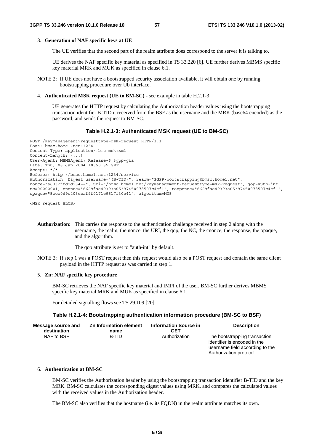#### 3. **Generation of NAF specific keys at UE**

The UE verifies that the second part of the realm attribute does correspond to the server it is talking to.

 UE derives the NAF specific key material as specified in TS 33.220 [6]. UE further derives MBMS specific key material MRK and MUK as specified in clause 6.1.

NOTE 2: If UE does not have a bootstrapped security association available, it will obtain one by running bootstrapping procedure over Ub interface.

#### 4. **Authenticated MSK request (UE to BM-SC)** - see example in table H.2.1-3

 UE generates the HTTP request by calculating the Authorization header values using the bootstrapping transaction identifier B-TID it received from the BSF as the username and the MRK (base64 encoded) as the password, and sends the request to BM-SC.

#### **Table H.2.1-3: Authenticated MSK request (UE to BM-SC)**

```
POST /keymanagement?requesttype=msk-request HTTP/1.1 
Host: bmsc.home1.net:1234 
Content-Type: application/mbms-msk+xml 
Content-Length: (...) 
User-Agent: MBMSAgent; Release-6 3gpp-gba 
Date: Thu, 08 Jan 2004 10:50:35 GMT 
Accept: */* 
Referer: http://bmsc.home1.net:1234/service 
Authorization: Digest username="(B-TID)", realm="3GPP-bootstrapping@bmsc.home1.net", 
nonce="a6332ffd2d234==", uri="/bmsc.home1.net/keymanagement?requesttype=msk-request", qop=auth-int, 
nc=00000001, cnonce="6629fae49393a05397450978507c4ef1", response="6629fae49393a05397450978507c4ef1", 
opaque="5ccc069c403ebaf9f0171e9517f30e41", algorithm=MD5
```
<MSK request BLOB>

**Authorization:** This carries the response to the authentication challenge received in step 2 along with the username, the realm, the nonce, the URI, the qop, the NC, the cnonce, the response, the opaque, and the algorithm.

The qop attribute is set to "auth-int" by default.

NOTE 3: If step 1 was a POST request then this request would also be a POST request and contain the same client payload in the HTTP request as was carried in step 1.

#### 5. **Zn: NAF specific key procedure**

 BM-SC retrieves the NAF specific key material and IMPI of the user. BM-SC further derives MBMS specific key material MRK and MUK as specified in clause 6.1.

For detailed signalling flows see TS 29.109 [20].

#### **Table H.2.1-4: Bootstrapping authentication information procedure (BM-SC to BSF)**

| <b>Message source and</b> | Zn Information element | <b>Information Source in</b> | <b>Description</b>                                                                                                          |
|---------------------------|------------------------|------------------------------|-----------------------------------------------------------------------------------------------------------------------------|
| destination               | name                   | <b>GET</b>                   |                                                                                                                             |
| NAF to BSF                | B-TID                  | Authorization                | The bootstrapping transaction<br>identifier is encoded in the<br>username field according to the<br>Authorization protocol. |

#### 6. **Authentication at BM-SC**

 BM-SC verifies the Authorization header by using the bootstrapping transaction identifier B-TID and the key MRK. BM-SC calculates the corresponding digest values using MRK, and compares the calculated values with the received values in the Authorization header.

The BM-SC also verifies that the hostname (i.e. its FQDN) in the realm attribute matches its own.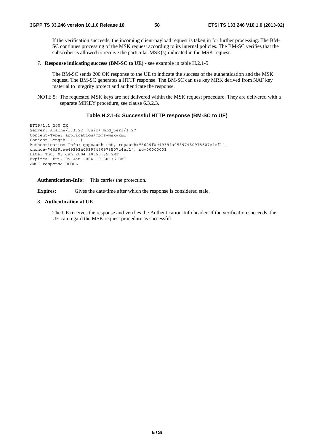If the verification succeeds, the incoming client-payload request is taken in for further processing. The BM-SC continues processing of the MSK request according to its internal policies. The BM-SC verifies that the subscriber is allowed to receive the particular MSK(s) indicated in the MSK request.

7. **Response indicating success (BM-SC to UE)** - see example in table H.2.1-5

 The BM-SC sends 200 OK response to the UE to indicate the success of the authentication and the MSK request. The BM-SC generates a HTTP response. The BM-SC can use key MRK derived from NAF key material to integrity protect and authenticate the response.

NOTE 5: The requested MSK keys are not delivered within the MSK request procedure. They are delivered with a separate MIKEY procedure, see clause 6.3.2.3.

#### **Table H.2.1-5: Successful HTTP response (BM-SC to UE)**

```
HTTP/1.1 200 OK 
Server: Apache/1.3.22 (Unix) mod_perl/1.27 
Content-Type: application/mbms-msk+xml 
Content-Length: (...) 
Authentication-Info: qop=auth-int, rspauth="6629fae49394a05397450978507c4ef1", 
cnonce="6629fae49393a05397450978507c4ef1", nc=00000001 
Date: Thu, 08 Jan 2004 10:50:35 GMT 
Expires: Fri, 09 Jan 2004 10:50:36 GMT 
<MSK response BLOB>
```
**Authentication-Info:** This carries the protection.

**Expires:** Gives the date/time after which the response is considered stale.

#### 8. **Authentication at UE**

 The UE receives the response and verifies the Authentication-Info header. If the verification succeeds, the UE can regard the MSK request procedure as successful.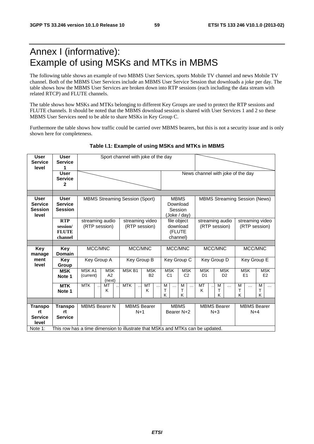## Annex I (informative): Example of using MSKs and MTKs in MBMS

The following table shows an example of two MBMS User Services, sports Mobile TV channel and news Mobile TV channel. Both of the MBMS User Services include an MBMS User Service Session that downloads a joke per day. The table shows how the MBMS User Services are broken down into RTP sessions (each including the data stream with related RTCP) and FLUTE channels.

The table shows how MSKs and MTKs belonging to different Key Groups are used to protect the RTP sessions and FLUTE channels. It should be noted that the MBMS download session is shared with User Services 1 and 2 so these MBMS User Services need to be able to share MSKs in Key Group C.

Furthermore the table shows how traffic could be carried over MBMS bearers, but this is not a security issue and is only shown here for completeness.

| User<br><b>Service</b><br>level                          | User<br><b>Service</b>                            | Sport channel with joke of the day                                             |                            |                   |                                  |                              |                                                                                            |                              |                                   |                                  |                              |  |
|----------------------------------------------------------|---------------------------------------------------|--------------------------------------------------------------------------------|----------------------------|-------------------|----------------------------------|------------------------------|--------------------------------------------------------------------------------------------|------------------------------|-----------------------------------|----------------------------------|------------------------------|--|
|                                                          | <b>User</b><br><b>Service</b><br>2                |                                                                                |                            |                   |                                  |                              |                                                                                            |                              | News channel with joke of the day |                                  |                              |  |
|                                                          |                                                   |                                                                                |                            |                   |                                  |                              |                                                                                            |                              |                                   |                                  |                              |  |
| <b>User</b><br><b>Service</b><br><b>Session</b><br>level | <b>User</b><br><b>Service</b><br><b>Session</b>   | <b>MBMS Streaming Session (Sport)</b>                                          |                            |                   |                                  |                              | <b>MBMS</b><br><b>MBMS Streaming Session (News)</b><br>Download<br>Session<br>(Joke / day) |                              |                                   |                                  |                              |  |
|                                                          | <b>RTP</b><br>session/<br><b>FLUTE</b><br>channel | streaming audio<br>(RTP session)                                               |                            |                   | streaming video<br>(RTP session) |                              | file object<br>download<br>(FLUTE<br>channel)                                              |                              | streaming audio<br>(RTP session)  | streaming video<br>(RTP session) |                              |  |
|                                                          |                                                   |                                                                                |                            |                   |                                  |                              |                                                                                            |                              |                                   |                                  |                              |  |
| Key<br>manage                                            | Key<br><b>Domain</b>                              | MCC/MNC                                                                        |                            |                   | MCC/MNC                          | MCC/MNC                      |                                                                                            | MCC/MNC                      |                                   | MCC/MNC                          |                              |  |
| ment<br>level                                            | Key<br>Group                                      | Key Group A                                                                    |                            | Key Group B       |                                  |                              | Key Group C                                                                                |                              | Key Group D                       |                                  | Key Group E                  |  |
|                                                          | <b>MSK</b><br>Note 1                              | MSK A1<br>(current)                                                            | <b>MSK</b><br>A2<br>(next) | MSK <sub>B1</sub> | <b>MSK</b><br>B <sub>2</sub>     | <b>MSK</b><br>C <sub>1</sub> | <b>MSK</b><br>C <sub>2</sub>                                                               | <b>MSK</b><br>D <sub>1</sub> | <b>MSK</b><br>D <sub>2</sub>      | <b>MSK</b><br>E1                 | <b>MSK</b><br>E <sub>2</sub> |  |
|                                                          | <b>MTK</b><br>Note 1                              | <b>MTK</b>                                                                     | MT<br>Κ                    | <b>MTK</b>        | MT<br>$\ddotsc$<br>Κ             | М<br>$\cdots$<br>Т<br>K      | М<br>$\cdots$<br>т<br>K                                                                    | MT<br>Κ                      | M<br>$\cdots$<br>Т<br>K.          | M<br>$\ddotsc$<br>т<br>K         | М<br>$\cdots$<br>т<br>K      |  |
|                                                          |                                                   |                                                                                |                            |                   |                                  |                              |                                                                                            |                              |                                   |                                  |                              |  |
| <b>Transpo</b><br>rt<br><b>Service</b><br>level          | Transpo<br>rt<br><b>Service</b>                   | <b>MBMS Bearer N</b>                                                           |                            |                   | <b>MBMS Bearer</b><br>$N+1$      |                              | <b>MBMS</b><br>Bearer N+2                                                                  | <b>MBMS Bearer</b><br>$N+3$  |                                   | <b>MBMS Bearer</b><br>$N+4$      |                              |  |
| Note 1:                                                  |                                                   | This row has a time dimension to illustrate that MSKs and MTKs can be updated. |                            |                   |                                  |                              |                                                                                            |                              |                                   |                                  |                              |  |

#### **Table I.1: Example of using MSKs and MTKs in MBMS**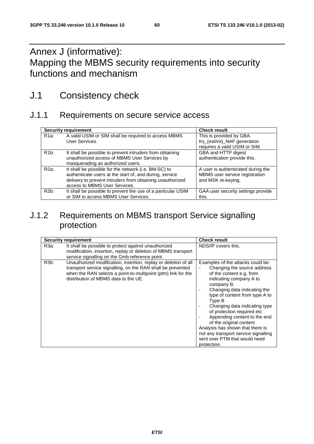## Annex J (informative): Mapping the MBMS security requirements into security functions and mechanism

## J.1 Consistency check

## J.1.1 Requirements on secure service access

|                   | <b>Security requirement</b>                                                                                                                                                                                   | <b>Check result</b>                                                                        |
|-------------------|---------------------------------------------------------------------------------------------------------------------------------------------------------------------------------------------------------------|--------------------------------------------------------------------------------------------|
| R <sub>1</sub> a: | A valid USIM or SIM shall be required to access MBMS<br>User Services.                                                                                                                                        | This is provided by GBA.<br>Ks_(ext/int)_NAF generation<br>requires a valid USIM or SIM.   |
| $R1b$ :           | It shall be possible to prevent intruders from obtaining<br>unauthorized access of MBMS User Services by<br>masquerading as authorized users.                                                                 | GBA and HTTP digest<br>authentication provide this.                                        |
| $R2a$ :           | It shall be possible for the network (i.e. BM-SC) to<br>authenticate users at the start of, and during, service<br>delivery to prevent intruders from obtaining unauthorized<br>access to MBMS User Services. | A user is authenticated during the<br>MBMS user service registration<br>and MSK re-keying. |
| $R2b$ :           | It shall be possible to prevent the use of a particular USIM<br>or SIM to access MBMS User Services.                                                                                                          | GAA user security settings provide<br>this.                                                |

## J.1.2 Requirements on MBMS transport Service signalling protection

|                   | <b>Security requirement</b>                                                                                                                                                                                                             | <b>Check result</b>                                                                                                                                                                                                                                                                                                                                                                                                                                                     |
|-------------------|-----------------------------------------------------------------------------------------------------------------------------------------------------------------------------------------------------------------------------------------|-------------------------------------------------------------------------------------------------------------------------------------------------------------------------------------------------------------------------------------------------------------------------------------------------------------------------------------------------------------------------------------------------------------------------------------------------------------------------|
| R3a:              | It shall be possible to protect against unauthorized<br>modification, insertion, replay or deletion of MBMS transport<br>service signalling on the Gmb reference point.                                                                 | NDS/IP covers this.                                                                                                                                                                                                                                                                                                                                                                                                                                                     |
| R <sub>3</sub> b: | Unauthorized modification, insertion, replay or deletion of all<br>transport service signalling, on the RAN shall be prevented<br>when the RAN selects a point-to-multipoint (ptm) link for the<br>distribution of MBMS data to the UE. | Examples of the attacks could be:<br>Changing the source address<br>of the content e.g. from<br>indicating company A to<br>company B.<br>Changing data indicating the<br>type of content from type A to<br>Type B<br>Changing data indicating type<br>of protection required etc<br>Appending content to the end<br>of the original content<br>Analysis has shown that there is<br>not any transport service signalling<br>sent over PTM that would need<br>protection. |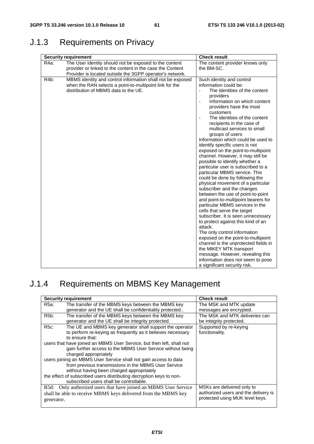## J.1.3 Requirements on Privacy

| <b>Security requirement</b>                                                                                                                                                                          | <b>Check result</b>                                                                                                                                                                                                                                                                                                                                                                                                                                                                                                                                                                                                                                                                                                                                                                                                                                                                                                                                                                                                                                                                                                                                                                            |
|------------------------------------------------------------------------------------------------------------------------------------------------------------------------------------------------------|------------------------------------------------------------------------------------------------------------------------------------------------------------------------------------------------------------------------------------------------------------------------------------------------------------------------------------------------------------------------------------------------------------------------------------------------------------------------------------------------------------------------------------------------------------------------------------------------------------------------------------------------------------------------------------------------------------------------------------------------------------------------------------------------------------------------------------------------------------------------------------------------------------------------------------------------------------------------------------------------------------------------------------------------------------------------------------------------------------------------------------------------------------------------------------------------|
| R <sub>4</sub> a:<br>The User identity should not be exposed to the content<br>provider or linked to the content in the case the Content<br>Provider is located outside the 3GPP operator's network. | The content provider knows only<br>the BM-SC.                                                                                                                                                                                                                                                                                                                                                                                                                                                                                                                                                                                                                                                                                                                                                                                                                                                                                                                                                                                                                                                                                                                                                  |
| R4b:<br>MBMS identity and control information shall not be exposed<br>when the RAN selects a point-to-multipoint link for the<br>distribution of MBMS data to the UE.                                | Such identity and control<br>information could be:<br>The identities of the content<br>providers<br>Information on which content<br>$\overline{\phantom{a}}$<br>providers have the most<br>customers<br>The identities of the content<br>$\blacksquare$<br>recipients in the case of<br>multicast services to small<br>groups of users<br>Information which could be used to<br>identify specific users is not<br>exposed on the point-to-multipoint<br>channel. However, it may still be<br>possible to identify whether a<br>particular user is subscribed to a<br>particular MBMS service. This<br>could be done by following the<br>physical movement of a particular<br>subscriber and the changes<br>between the use of point-to-point<br>and point-to-multipoint bearers for<br>particular MBMS services in the<br>cells that serve the target<br>subscriber. It is seen unnecessary<br>to protect against this kind of an<br>attack.<br>The only control information<br>exposed on the point-to-multipoint<br>channel is the unprotected fields in<br>the MIKEY MTK transport<br>message. However, revealing this<br>information does not seem to pose<br>a significant security risk. |

## J.1.4 Requirements on MBMS Key Management

|                   | <b>Security requirement</b>                                           | <b>Check result</b>                  |
|-------------------|-----------------------------------------------------------------------|--------------------------------------|
| R5a:              | The transfer of the MBMS keys between the MBMS key                    | The MSK and MTK update               |
|                   | generator and the UE shall be confidentiality protected               | messages are encrypted.              |
| R <sub>5</sub> b: | The transfer of the MBMS keys between the MBMS key                    | The MSK and MTK deliveries can       |
|                   | generator and the UE shall be integrity protected.                    | be integrity protected.              |
| <b>R5c:</b>       | The UE and MBMS key generator shall support the operator              | Supported by re-keying               |
|                   | to perform re-keying as frequently as it believes necessary           | functionality.                       |
|                   | to ensure that:                                                       |                                      |
|                   | users that have joined an MBMS User Service, but then left, shall not |                                      |
|                   | gain further access to the MBMS User Service without being            |                                      |
|                   | charged appropriately                                                 |                                      |
|                   | users joining an MBMS User Service shall not gain access to data      |                                      |
|                   | from previous transmissions in the MBMS User Service                  |                                      |
|                   | without having been charged appropriately                             |                                      |
|                   | the effect of subscribed users distributing decryption keys to non-   |                                      |
|                   | subscribed users shall be controllable.                               |                                      |
|                   | R5d: Only authorized users that have joined an MBMS User Service      | MSKs are delivered only to           |
|                   | shall be able to receive MBMS keys delivered from the MBMS key        | authorized users and the delivery is |
| generator.        |                                                                       | protected using MUK level keys.      |
|                   |                                                                       |                                      |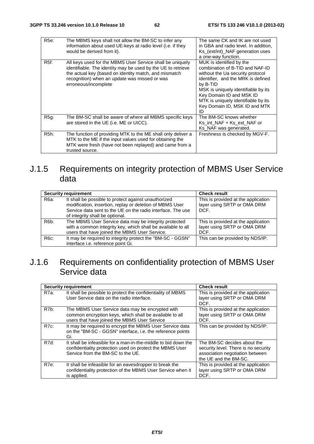| R <sub>5e</sub> : | The MBMS keys shall not allow the BM-SC to infer any<br>information about used UE-keys at radio level (i.e. if they<br>would be derived from it).                                                                                                           | The same CK and IK are not used<br>in GBA and radio level. In addition,<br>Ks_(ext/int)_NAF generation uses<br>a one-way function.                                                                                                                                                                 |
|-------------------|-------------------------------------------------------------------------------------------------------------------------------------------------------------------------------------------------------------------------------------------------------------|----------------------------------------------------------------------------------------------------------------------------------------------------------------------------------------------------------------------------------------------------------------------------------------------------|
| R <sub>5f</sub> : | All keys used for the MBMS User Service shall be uniquely<br>identifiable. The identity may be used by the UE to retrieve<br>the actual key (based on identity match, and mismatch<br>recognition) when an update was missed or was<br>erroneous/incomplete | MUK is identified by the<br>combination of B-TID and NAF-ID<br>without the Ua security protocol<br>identifier, and the MRK is defined<br>by B-TID<br>MSK is uniquely identifiable by its<br>Key Domain ID and MSK ID<br>MTK is uniquely identifiable by its<br>Key Domain ID, MSK ID and MTK<br>ID |
| $R5g$ :           | The BM-SC shall be aware of where all MBMS specific keys<br>are stored in the UE (i.e. ME or UICC).                                                                                                                                                         | The BM-SC knows whether<br>Ks int NAF + Ks ext NAF or<br>Ks_NAF was generated.                                                                                                                                                                                                                     |
| R <sub>5</sub> h: | The function of providing MTK to the ME shall only deliver a<br>MTK to the ME if the input values used for obtaining the<br>MTK were fresh (have not been replayed) and came from a<br>trusted source.                                                      | Freshness is checked by MGV-F.                                                                                                                                                                                                                                                                     |

## J.1.5 Requirements on integrity protection of MBMS User Service data

|                   | <b>Security requirement</b>                                                                                                                                                                                        | <b>Check result</b>                                                        |
|-------------------|--------------------------------------------------------------------------------------------------------------------------------------------------------------------------------------------------------------------|----------------------------------------------------------------------------|
| R6a:              | It shall be possible to protect against unauthorized<br>modification, insertion, replay or deletion of MBMS User<br>Service data sent to the UE on the radio interface. The use<br>of integrity shall be optional. | This is provided at the application<br>layer using SRTP or OMA DRM<br>DCF. |
| R <sub>6</sub> b: | The MBMS User Service data may be integrity protected<br>with a common integrity key, which shall be available to all<br>users that have joined the MBMS User Service.                                             | This is provided at the application<br>layer using SRTP or OMA DRM<br>DCF. |
| $R6c$ :           | It may be required to integrity protect the "BM-SC - GGSN"<br>interface i.e. reference point Gi.                                                                                                                   | This can be provided by NDS/IP.                                            |

## J.1.6 Requirements on confidentiality protection of MBMS User Service data

|         | <b>Security requirement</b>                                                                                                                                     | <b>Check result</b>                                                                                                             |
|---------|-----------------------------------------------------------------------------------------------------------------------------------------------------------------|---------------------------------------------------------------------------------------------------------------------------------|
| R7a:    | It shall be possible to protect the confidentiality of MBMS<br>User Service data on the radio interface.                                                        | This is provided at the application<br>layer using SRTP or OMA DRM<br>DCF.                                                      |
| R7b:    | The MBMS User Service data may be encrypted with<br>common encryption keys, which shall be available to all<br>users that have joined the MBMS User Service     | This is provided at the application<br>layer using SRTP or OMA DRM<br>DCF.                                                      |
| $R7c$ : | It may be required to encrypt the MBMS User Service data<br>on the "BM-SC - GGSN" interface, i.e. the reference points<br>Gi.                                   | This can be provided by NDS/IP.                                                                                                 |
| R7d:    | It shall be infeasible for a man-in-the-middle to bid down the<br>confidentiality protection used on protect the MBMS User<br>Service from the BM-SC to the UE. | The BM-SC decides about the<br>security level. There is no security<br>association negotiation between<br>the UE and the BM-SC. |
| R7e:    | It shall be infeasible for an eavesdropper to break the<br>confidentiality protection of the MBMS User Service when it<br>is applied.                           | This is provided at the application<br>layer using SRTP or OMA DRM<br>DCF.                                                      |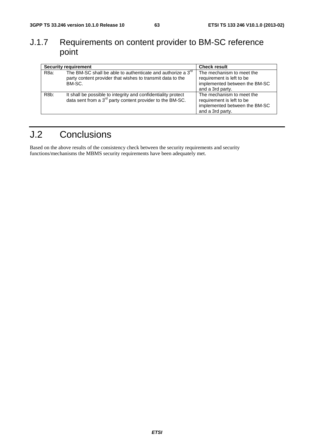## J.1.7 Requirements on content provider to BM-SC reference point

|                   | <b>Security requirement</b>                                                                                                                     | <b>Check result</b>                                                                                         |
|-------------------|-------------------------------------------------------------------------------------------------------------------------------------------------|-------------------------------------------------------------------------------------------------------------|
| R8a:              | The BM-SC shall be able to authenticate and authorize a 3 <sup>rd</sup><br>party content provider that wishes to transmit data to the<br>BM-SC. | The mechanism to meet the<br>requirement is left to be<br>implemented between the BM-SC<br>and a 3rd party. |
| R <sub>8</sub> b: | It shall be possible to integrity and confidentiality protect<br>data sent from a 3 <sup>rd</sup> party content provider to the BM-SC.          | The mechanism to meet the<br>requirement is left to be<br>implemented between the BM-SC<br>and a 3rd party. |

## J.2 Conclusions

Based on the above results of the consistency check between the security requirements and security functions/mechanisms the MBMS security requirements have been adequately met.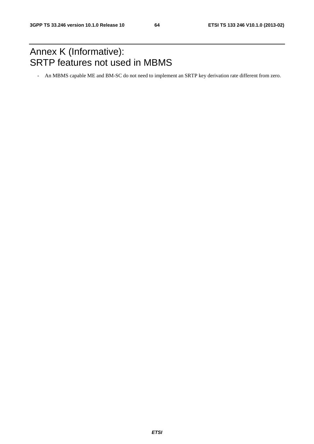## Annex K (Informative): SRTP features not used in MBMS

- An MBMS capable ME and BM-SC do not need to implement an SRTP key derivation rate different from zero.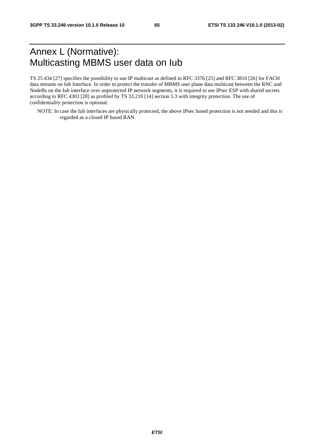## Annex L (Normative): Multicasting MBMS user data on Iub

TS 25.434 [27] specifies the possibility to use IP multicast as defined in RFC 3376 [25] and RFC 3810 [26] for FACH data streams on Iub Interface. In order to protect the transfer of MBMS user plane data multicast between the RNC and NodeBs on the Iub interface over unprotected IP network segments, it is required to use IPsec ESP with shared secrets according to RFC 4303 [28] as profiled by TS 33.210 [14] section 5.3 with integrity protection. The use of confidentiality protection is optional.

NOTE: In case the Iub interfaces are physically protected, the above IPsec based protection is not needed and this is regarded as a closed IP based RAN.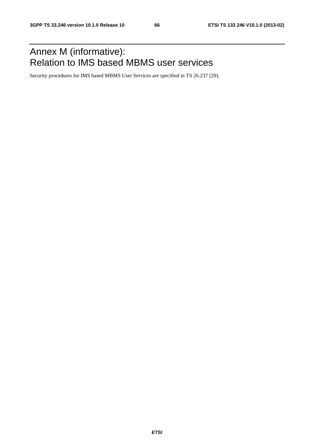## Annex M (informative): Relation to IMS based MBMS user services

Security procedures for IMS based MBMS User Services are specified in TS 26.237 [29].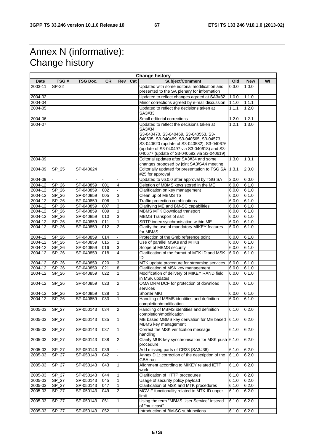## Annex N (informative): Change history

|                    |                             |           |     |                |     | <b>Change history</b>                                                                                                                                                                                                                |       |                |    |
|--------------------|-----------------------------|-----------|-----|----------------|-----|--------------------------------------------------------------------------------------------------------------------------------------------------------------------------------------------------------------------------------------|-------|----------------|----|
| Date               | TSG#                        | TSG Doc.  | CR. | Rev            | Cat | Subject/Comment                                                                                                                                                                                                                      | Old   | <b>New</b>     | WI |
| 2003-11            | SP-22                       |           |     |                |     | Updated with some editorial modification and<br>presented to the SA plenary for information                                                                                                                                          | 0.3.0 | 1.0.0          |    |
| 2004-02            |                             |           |     |                |     | Updated to reflect changes agreed at SA3#32                                                                                                                                                                                          | 1.0.0 | 1.1.0          |    |
| 2004-04            |                             |           |     |                |     | Minor corrections agreed by e-mail discussion                                                                                                                                                                                        | 1.1.0 | 1.1.1          |    |
| 2004-05            |                             |           |     |                |     | Updated to reflect the decisions taken at<br>SA3#33                                                                                                                                                                                  | 1.1.1 | 1.2.0          |    |
|                    |                             |           |     |                |     |                                                                                                                                                                                                                                      |       |                |    |
| 2004-06<br>2004-07 |                             |           |     |                |     | Small editorial corrections<br>Updated to reflect the decisions taken at                                                                                                                                                             | 1.2.0 | 1.2.1<br>1.3.0 |    |
|                    |                             |           |     |                |     | SA3#34<br>S3-040470, S3-040469, S3-040553, S3-<br>040535, S3-040489, S3-040565, S3-04573,<br>S3-040620 (update of S3-040582), S3-040676<br>(update of S3-040497 via S3-040618) and S3-<br>040677 (update of S3-040582 via S3-040619) | 1.2.1 |                |    |
| 2004-09            |                             |           |     |                |     | Editorial updates after SA3#34 and some<br>changes proposed by joint SA3/SA4 meeting                                                                                                                                                 | 1.3.0 | 1.3.1          |    |
| 2004-09            | SP_25                       | SP-040624 |     |                |     | Editorially updated for presentation to TSG SA<br>#25 for approval                                                                                                                                                                   | 1.3.1 | 2.0.0          |    |
| 2004-09            |                             |           |     |                |     | Updated to v6.0.0 after approval by TSG SA                                                                                                                                                                                           | 2.0.0 | 6.0.0          |    |
| 2004-12            | SP 26                       | SP-040859 | 001 | 4              |     | Deletion of MBMS keys stored in the ME                                                                                                                                                                                               | 6.0.0 | 6.1.0          |    |
| 2004-12            | SP 26                       | SP-040859 | 002 |                |     | Clarification on key management                                                                                                                                                                                                      | 6.0.0 | 6.1.0          |    |
| 2004-12            | SP_26                       | SP-040859 | 005 | 3              |     | Clean up of MBMS TS                                                                                                                                                                                                                  | 6.0.0 | 6.1.0          |    |
| 2004-12            | SP 26                       | SP-040859 | 006 | $\mathbf{1}$   |     | Traffic protection combinations                                                                                                                                                                                                      | 6.0.0 | 6.1.0          |    |
| 2004-12            | SP 26                       | SP-040859 | 007 | 3              |     | Clarifying ME and BM-SC capabilities                                                                                                                                                                                                 | 6.0.0 | 6.1.0          |    |
| 2004-12            | $SP_26$                     | SP-040859 | 009 | $\mathbf{1}$   |     | MBMS MTK Download transport                                                                                                                                                                                                          | 6.0.0 | 6.1.0          |    |
| 2004-12            | SP 26                       | SP-040859 | 010 | 3              |     | MBMS Transport of salt                                                                                                                                                                                                               | 6.0.0 | 6.1.0          |    |
| 2004-12            | SP 26                       | SP-040859 | 011 | $\mathbf{1}$   |     | SRTP index synchronisation within ME                                                                                                                                                                                                 | 6.0.0 | 6.1.0          |    |
| 2004-12            | $SP_26$                     | SP-040859 | 012 | $\overline{2}$ |     | Clarify the use of mandatory MIKEY features<br>for MBMS                                                                                                                                                                              | 6.0.0 | 6.1.0          |    |
| 2004-12            | $SP_26$                     | SP-040859 | 014 |                |     | Protection of the Gmb reference point                                                                                                                                                                                                | 6.0.0 | 6.1.0          |    |
| 2004-12            | SP_26                       | SP-040859 | 015 | 1              |     | Use of parallel MSKs and MTKs                                                                                                                                                                                                        | 6.0.0 | 6.1.0          |    |
| 2004-12            | SP 26                       | SP-040859 | 016 | 3              |     | Scope of MBMS security                                                                                                                                                                                                               | 6.0.0 | 6.1.0          |    |
| 2004-12            | SP_26                       | SP-040859 | 018 | $\overline{4}$ |     | Clarification of the format of MTK ID and MSK<br>ID                                                                                                                                                                                  | 6.0.0 | 6.1.0          |    |
| 2004-12            | SP_26                       | SP-040859 | 020 | 3              |     | MTK update procedure for streaming services                                                                                                                                                                                          | 6.0.0 | 6.1.0          |    |
| 2004-12            | SP_26                       | SP-040859 | 021 | 8              |     | Clarification of MSK key management                                                                                                                                                                                                  | 6.0.0 | 6.1.0          |    |
| 2004-12            | SP_26                       | SP-040859 | 022 | $\mathbf{1}$   |     | Modification of delivery of MIKEY RAND field<br>in MSK updates                                                                                                                                                                       | 6.0.0 | 6.1.0          |    |
| 2004-12            | SP_26                       | SP-040859 | 023 | $\overline{2}$ |     | OMA DRM DCF for protection of download<br>services                                                                                                                                                                                   | 6.0.0 | 6.1.0          |    |
| $2004 - 12$        | SP_26                       | SP-040859 | 028 | 1              |     | <b>Shorter MKI</b>                                                                                                                                                                                                                   | 6.0.0 | 6.1.0          |    |
| 2004-12            | $SP_26$                     | SP-040859 | 033 | $\mathbf{1}$   |     | Handling of MBMS identities and definition<br>completion/modification                                                                                                                                                                | 6.0.0 | 6.1.0          |    |
| 2005-03            | SP_27                       | SP-050143 | 034 | $\overline{2}$ |     | Handling of MBMS identities and definition<br>completion/modification                                                                                                                                                                | 6.1.0 | 6.2.0          |    |
| 2005-03            | SP_27                       | SP-050143 | 035 | $\mathbf{1}$   |     | ME based MBMS key derivation for ME based 6.1.0<br>MBMS key management                                                                                                                                                               |       | 6.2.0          |    |
| 2005-03            | $SP_27$                     | SP-050143 | 037 | $\mathbf{1}$   |     | Correct the MSK verification message<br>handling                                                                                                                                                                                     | 6.1.0 | 6.2.0          |    |
| 2005-03            | SP_27                       | SP-050143 | 038 | $\overline{c}$ |     | Clarify MUK key synchronisation for MSK push 6.1.0<br>procedure                                                                                                                                                                      |       | 6.2.0          |    |
| 2005-03            | SP_27                       | SP-050143 | 039 |                |     | Add missing parts of CR33 (SA3#36)                                                                                                                                                                                                   | 6.1.0 | 6.2.0          |    |
| 2005-03            | $SP_27$                     | SP-050143 | 042 |                |     | Annex D.1: correction of the description of the                                                                                                                                                                                      | 6.1.0 | 6.2.0          |    |
|                    |                             |           |     |                |     | GBA run                                                                                                                                                                                                                              |       |                |    |
| 2005-03            | $SP_27$                     | SP-050143 | 043 | $\mathbf{1}$   |     | Alignment according to MIKEY related IETF<br>work                                                                                                                                                                                    | 6.1.0 | 6.2.0          |    |
| 2005-03            | $SP_27$                     | SP-050143 | 044 | 1              |     | Clarification of HTTP procedures                                                                                                                                                                                                     | 6.1.0 | 6.2.0          |    |
| 2005-03            | SP_27                       | SP-050143 | 045 | $\mathbf{1}$   |     | Usage of security policy payload                                                                                                                                                                                                     | 6.1.0 | 6.2.0          |    |
| 2005-03            | $\overline{\text{SP}_{27}}$ | SP-050143 | 047 | $\mathbf{1}$   |     | Clarification of MSK and MTK procedures                                                                                                                                                                                              | 6.1.0 | 6.2.0          |    |
| 2005-03            | $SP_27$                     | SP-050143 | 049 | $\overline{2}$ |     | MGV-F functionality related to MTK-ID upper<br>limit                                                                                                                                                                                 | 6.1.0 | 6.2.0          |    |
| 2005-03            | $SP_27$                     | SP-050143 | 051 | $\mathbf{1}$   |     | Using the term "MBMS User Service" instead<br>of "multicast"                                                                                                                                                                         | 6.1.0 | 6.2.0          |    |
| 2005-03            | $SP_27$                     | SP-050143 | 052 | $\mathbf{1}$   |     | Introduction of BM-SC subfunctions                                                                                                                                                                                                   | 6.1.0 | 6.2.0          |    |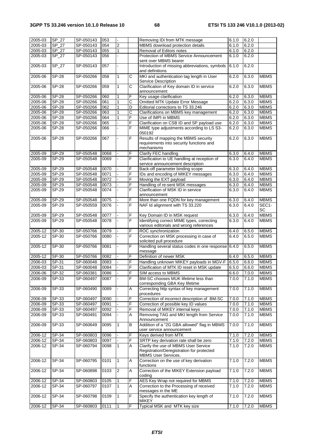|         | SP_27        | SP-050143 | 053  | ä,             |                |                                                |               |       |             |
|---------|--------------|-----------|------|----------------|----------------|------------------------------------------------|---------------|-------|-------------|
| 2005-03 |              |           |      |                |                | Removing IDi from MTK message                  | 6.1.0         | 6.2.0 |             |
| 2005-03 | SP 27        | SP-050143 | 054  | $\overline{c}$ |                | MBMS download protection details               | 6.1.0         | 6.2.0 |             |
| 2005-03 | SP_27        | SP-050143 | 055  | $\mathbf{1}$   |                | Removal of Editors notes                       | 6.1.0         | 6.2.0 |             |
|         |              |           |      |                |                |                                                |               |       |             |
| 2005-03 | SP 27        | SP-050143 | 056  |                |                | Protection of MBMS Service Announcement        | 6.1.0         | 6.2.0 |             |
|         |              |           |      |                |                | sent over MBMS bearer                          |               |       |             |
| 2005-03 | SP_27        | SP-050143 | 057  | $\overline{a}$ |                | Introduction of missing abbreviations, symbols | 6.1.0         | 6.2.0 |             |
|         |              |           |      |                |                |                                                |               |       |             |
|         |              |           |      |                |                | and definitions                                |               |       |             |
| 2005-06 | <b>SP-28</b> | SP-050266 | 058  | $\mathbf{1}$   | C              | MKI and authentication tag length in User      | 6.2.0         | 6.3.0 | <b>MBMS</b> |
|         |              |           |      |                |                | Service Description                            |               |       |             |
|         |              |           |      |                |                |                                                |               |       |             |
| 2005-06 | <b>SP-28</b> | SP-050266 | 059  | $\mathbf{1}$   | $\overline{c}$ | Clarification of Key domain ID in service      | 6.2.0         | 6.3.0 | <b>MBMS</b> |
|         |              |           |      |                |                | announcement                                   |               |       |             |
|         | <b>SP-28</b> |           |      | $\mathbf{1}$   | F              |                                                | 6.2.0         |       | <b>MBMS</b> |
| 2005-06 |              | SP-050266 | 060  |                |                | Key usage clarification                        |               | 6.3.0 |             |
| 2005-06 | <b>SP-28</b> | SP-050266 | 061  | $\mathbf{1}$   | C              | Omitted MTK Update Error Message               | 6.2.0         | 6.3.0 | <b>MBMS</b> |
| 2005-06 | <b>SP-28</b> | SP-050266 | 062  | $\mathbf{1}$   | D              | Editorial corrections to TS 33.246             | 6.2.0         | 6.3.0 | <b>MBMS</b> |
|         |              |           |      |                |                |                                                |               |       |             |
| 2005-06 | <b>SP-28</b> | SP-050266 | 063  | $\mathbf{1}$   | С              | Clarifications on MBMS key management          | 6.2.0         | 6.3.0 | <b>MBMS</b> |
| 2005-06 | <b>SP-28</b> | SP-050266 | 064  | $\mathbf{1}$   | F              | Use of IMPI in MBMS                            | 6.2.0         | 6.3.0 | <b>MBMS</b> |
| 2005-06 | $S P - 28$   | SP-050266 | 065  |                | F              | Clarification on CSB ID and SP payload use     | 6.2.0         | 6.3.0 | <b>MBMS</b> |
|         |              |           |      |                |                |                                                |               |       |             |
| 2005-06 | <b>SP-28</b> | SP-050266 | 066  |                | F              | MIME type adjustments according to LS S3-      | 6.2.0         | 6.3.0 | <b>MBMS</b> |
|         |              |           |      |                |                | 050192                                         |               |       |             |
| 2005-06 | <b>SP-28</b> | SP-050266 | 067  |                | F              | Results of mapping the MBMS security           | 6.2.0         | 6.3.0 | <b>MBMS</b> |
|         |              |           |      |                |                |                                                |               |       |             |
|         |              |           |      |                |                | requirements into security functions and       |               |       |             |
|         |              |           |      |                |                | mechanisms                                     |               |       |             |
|         | SP-29        |           | 0068 |                |                |                                                | 6.3.0         |       | <b>MBMS</b> |
| 2005-09 |              | SP-050548 |      |                | F              | Clarify FEC handling                           |               | 6.4.0 |             |
| 2005-09 | SP-29        | SP-050548 | 0069 |                | F              | Clarification to UE handling at reception of   | 6.3.0         | 6.4.0 | <b>MBMS</b> |
|         |              |           |      |                |                | service announcement description               |               |       |             |
|         |              |           |      |                |                |                                                |               |       |             |
| 2005-09 | SP-29        | SP-050548 | 0070 |                | F              | Back-off parameter binding scope               | 6.3.0         | 6.4.0 | <b>MBMS</b> |
| 2005-09 | SP-29        | SP-050548 | 0071 |                | F              | IDs and encoding of MIKEY messages             | 6.3.0         | 6.4.0 | <b>MBMS</b> |
| 2005-09 | <b>SP-29</b> | SP-050548 | 0072 |                | F              | Moving the EXT payload                         | 6.3.0         | 6.4.0 | <b>MBMS</b> |
|         |              |           |      |                |                |                                                |               |       |             |
| 2005-09 | SP-29        | SP-050548 | 0073 |                | F              | Handling of re-sent MSK messages               | 6.3.0         | 6.4.0 | <b>MBMS</b> |
| 2005-09 | SP-29        | SP-050548 | 0074 |                | F              | Clarification of MSK ID in service             | 6.3.0         | 6.4.0 | <b>MBMS</b> |
|         |              |           |      |                |                |                                                |               |       |             |
|         |              |           |      |                |                | announcement                                   |               |       |             |
| 2005-09 | SP-29        | SP-050548 | 0075 |                | F              | More than one FQDN for key management          | 6.3.0         | 6.4.0 | <b>MBMS</b> |
| 2005-09 | SP-29        | SP-050559 | 0076 |                | F              | NAF Id alignment with TS 33.220                | 6.3.0         | 6.4.0 | SEC1-       |
|         |              |           |      |                |                |                                                |               |       |             |
|         |              |           |      |                |                |                                                |               |       | SC          |
| 2005-09 | SP-29        | SP-050548 | 0077 |                | F              | Key Domain ID in MSK request                   | 6.3.0         | 6.4.0 | <b>MBMS</b> |
|         |              |           |      |                | F              |                                                |               |       |             |
| 2005-09 | SP-29        | SP-050548 | 0078 |                |                | Identifying correct MIME types, correcting     | 6.3.0         | 6.4.0 | <b>MBMS</b> |
|         |              |           |      |                |                | various editorials and wrong references        |               |       |             |
| 2005-12 | SP-30        | SP-050766 | 0079 |                | F              | ROC synchronization                            | 6.4.0         | 6.5.0 | <b>MBMS</b> |
|         |              |           |      |                |                |                                                |               |       |             |
| 2005-12 | SP-30        | SP-050766 | 0080 |                | F              | Correction on MSK processing in case of        | 6.4.0         | 6.5.0 | <b>MBMS</b> |
|         |              |           |      |                |                | solicited pull procedure                       |               |       |             |
| 2005-12 | SP-30        | SP-050766 | 0081 |                | F              |                                                | 6.4.0         |       | <b>MBMS</b> |
|         |              |           |      |                |                | Handling several status codes in one response  |               | 6.5.0 |             |
|         |              |           |      |                |                | message                                        |               |       |             |
| 2005-12 | SP-30        | SP-050766 | 0082 |                | F              | Definition of newer MSK                        | 6.4.0         | 6.5.0 | <b>MBMS</b> |
|         |              |           |      |                |                |                                                |               |       |             |
| 2006-03 | SP-31        | SP-060048 | 0083 |                | F              | Handling unknown MIKEY payloads in MGV-F       | 6.5.0         | 6.6.0 | <b>MBMS</b> |
| 2006-03 | SP-31        | SP-060048 | 0084 |                | F              | Clarification of MTK ID reset in MSK update    | 6.5.0         | 6.6.0 | <b>MBMS</b> |
|         |              |           |      |                |                |                                                |               |       |             |
| 2006-06 | $SP-32$      | SP-060381 | 0086 |                | F              | SIM access to MBMS                             | $6.6.0$ 7.0.0 |       | <b>MBMS</b> |
| 2006-09 | SP-33        | SP-060497 | 0087 |                | F              | BM-SC chooses MUK lifetime less than           | 7.0.0         | 7.1.0 | <b>MBMS</b> |
|         |              |           |      |                |                | corresponding GBA Key lifetime                 |               |       |             |
|         |              |           |      |                |                |                                                |               |       |             |
| 2006-09 | SP-33        | SP-060490 | 0089 |                | A              | Correcting http syntax of key management       | 7.0.0         | 7.1.0 | <b>MBMS</b> |
|         |              |           |      |                |                | procedures                                     |               |       |             |
| 2006-09 | SP-33        | SP-060497 | 0090 |                | F              | Correction of incorrect description of BM-SC   | 7.0.0         | 7.1.0 | <b>MBMS</b> |
|         |              |           |      |                |                |                                                |               |       |             |
| 2006-09 | SP-33        | SP-060497 | 0091 |                | F              | Correction of possible key ID values           | 7.0.0         | 7.1.0 | <b>MBMS</b> |
| 2006-09 | SP-33        | SP-060497 | 0092 |                | F              | Removal of MIKEY internal keys                 | 7.0.0         | 7.1.0 | <b>MBMS</b> |
|         |              |           |      |                |                |                                                |               |       |             |
| 2006-09 | SP-33        | SP-060491 | 0094 |                | A              | Removing TAG and MKI length from Service       | 7.0.0         | 7.1.0 | <b>MBMS</b> |
|         |              |           |      |                |                | Announcement                                   |               |       |             |
| 2006-09 | SP-33        | SP-060649 | 0095 | $\mathbf{1}$   | B              | Addition of a "2G GBA allowed" flag in MBMS    | 7.0.0         | 7.1.0 | <b>MBMS</b> |
|         |              |           |      |                |                |                                                |               |       |             |
|         |              |           |      |                |                | user service announcement                      |               |       |             |
| 2006-12 | SP-34        | SP-060803 | 0096 |                | F              | Keys derived from MTK                          | 7.1.0         | 7.2.0 | <b>MBMS</b> |
|         |              |           |      |                | F              |                                                |               |       |             |
| 2006-12 | SP-34        | SP-060803 | 0097 |                |                | SRTP key derivation rate shall be zero         | 7.1.0         | 7.2.0 | <b>MBMS</b> |
| 2006-12 | SP-34        | SP-060794 | 0098 | $\mathbf{1}$   | A              | Clarify the use of MBMS User Service           | 7.1.0         | 7.2.0 | <b>MBMS</b> |
|         |              |           |      |                |                | Registration/Deregistration for protected      |               |       |             |
|         |              |           |      |                |                |                                                |               |       |             |
|         |              |           |      |                |                | <b>MBMS User Services.</b>                     |               |       |             |
|         |              |           |      |                |                |                                                |               |       |             |
| 2006-12 | SP-34        |           | 0101 | $\mathbf{1}$   | Α              |                                                | 7.1.0         |       |             |
|         |              | SP-060795 |      |                |                | Correction on the use of key derivation        |               | 7.2.0 | <b>MBMS</b> |
|         |              |           |      |                |                | functions                                      |               |       |             |
| 2006-12 | SP-34        | SP-060898 | 0103 | $\overline{2}$ | A              | Correction of the MIKEY Extension payload      | 7.1.0         | 7.2.0 | <b>MBMS</b> |
|         |              |           |      |                |                |                                                |               |       |             |
|         |              |           |      |                |                | coding                                         |               |       |             |
| 2006-12 | SP-34        | SP-060803 | 0105 | 1              | F              | AES Key Wrap not required for MBMS             | 7.1.0         | 7.2.0 | <b>MBMS</b> |
| 2006-12 | SP-34        | SP-060797 |      | $\mathbf{1}$   | Α              |                                                | 7.1.0         | 7.2.0 |             |
|         |              |           | 0107 |                |                | Correction to the Processing of received       |               |       | <b>MBMS</b> |
|         |              |           |      |                |                | messages in the ME                             |               |       |             |
| 2006-12 | SP-34        | SP-060798 | 0109 | $\vert$ 1      | F              | Specify the authentication key length of       | 7.1.0         | 7.2.0 | <b>MBMS</b> |
|         |              |           |      |                |                | <b>MIKEY</b>                                   |               |       |             |
| 2006-12 | SP-34        | SP-060803 | 0111 | 1              | F              | Typical MSK and MTK key size                   | 7.1.0         | 7.2.0 | <b>MBMS</b> |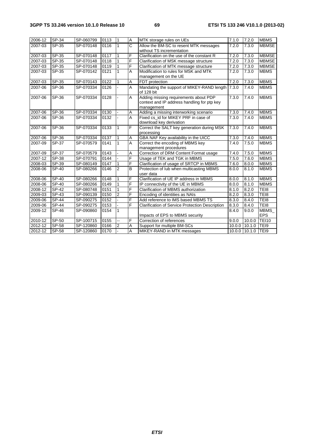| 2006-12 | SP-34        | SP-060799 | 0113 | $\vert$ 1               | $\overline{A}$            | MTK storage rules on UEs                                                                           | 7.1.0 | 7.2.0              | <b>MBMS</b>               |
|---------|--------------|-----------|------|-------------------------|---------------------------|----------------------------------------------------------------------------------------------------|-------|--------------------|---------------------------|
| 2007-03 | SP-35        | SP-070148 | 0116 | $\mathbf{1}$            | $\mathsf{C}$              | Allow the BM-SC to resent MTK messages<br>without TS incrementation                                | 7.2.0 | 7.3.0              | <b>MBMSE</b>              |
| 2007-03 | SP-35        | SP-070148 | 0117 | 1                       | F                         | Clarification on the use of the constant R                                                         | 7.2.0 | 7.3.0              | <b>MBMSE</b>              |
| 2007-03 | SP-35        | SP-070148 | 0118 | 1                       | F                         | Clarification of MSK message structure                                                             | 7.2.0 | 7.3.0              | <b>MBMSE</b>              |
| 2007-03 | SP-35        | SP-070148 | 0119 | 1                       | F                         | Clarification of MTK message structure                                                             | 7.2.0 | 7.3.0              | <b>MBMSE</b>              |
| 2007-03 | SP-35        | SP-070142 | 0121 | $\mathbf{1}$            | A                         | Modification to rules for MSK and MTK<br>management on the UE                                      | 7.2.0 | 7.3.0              | <b>MBMS</b>               |
| 2007-03 | SP-35        | SP-070143 | 0122 |                         | A                         | FDT protection                                                                                     | 7.2.0 | 7.3.0              | <b>MBMS</b>               |
| 2007-06 | SP-36        | SP-070334 | 0126 |                         | $\overline{A}$            | Mandating the support of MIKEY-RAND length 7.3.0<br>of 128 bit                                     |       | 7.4.0              | <b>MBMS</b>               |
| 2007-06 | SP-36        | SP-070334 | 0128 |                         | A                         | Adding missing requirements about PDP<br>context and IP address handling for ptp key<br>management | 7.3.0 | 7.4.0              | <b>MBMS</b>               |
| 2007-06 | SP-36        | SP-070334 | 0130 |                         | Α                         | Adding a missing interworking scenario                                                             | 7.3.0 | 7.4.0              | <b>MBMS</b>               |
| 2007-06 | SP-36        | SP-070334 | 0132 |                         | $\overline{A}$            | Fixed cs id for MIKEY PRF in case of<br>download key derivation                                    | 7.3.0 | 7.4.0              | <b>MBMS</b>               |
| 2007-06 | SP-36        | SP-070334 | 0133 | $\mathbf{1}$            | F                         | Correct the SALT key generation during MSK<br>processing                                           | 7.3.0 | 7.4.0              | <b>MBMS</b>               |
| 2007-06 | SP-36        | SP-070334 | 0137 | 1                       | $\boldsymbol{\mathsf{A}}$ | GBA NAF Key availability in the UICC                                                               | 7.3.0 | 7.4.0              | <b>MBMS</b>               |
| 2007-09 | SP-37        | SP-070579 | 0141 | $\mathbf{1}$            | $\overline{A}$            | Correct the encoding of MBMS kev<br>management procedures                                          | 7.4.0 | 7.5.0              | <b>MBMS</b>               |
| 2007-09 | SP-37        | SP-070579 | 0143 |                         | Α                         | Correction of DRM Content Format usage                                                             | 7.4.0 | 7.5.0              | <b>MBMS</b>               |
| 2007-12 | SP-38        | SP-070791 | 0144 |                         | F                         | Usage of TEK and TGK in MBMS                                                                       | 7.5.0 | 7.6.0              | <b>MBMS</b>               |
| 2008-03 | SP-39        | SP-080149 | 0147 |                         | F                         | Clarification of usage of SRTCP in MBMS                                                            | 7.6.0 | 8.0.0              | <b>MBMS</b>               |
| 2008-06 | SP-40        | SP-080266 | 0146 | $\overline{2}$          | $\overline{B}$            | Protection of lub when multicasting MBMS<br>user data                                              | 8.0.0 | 8.1.0              | <b>MBMS</b>               |
| 2008-06 | SP-40        | SP-080266 | 0148 |                         | F                         | Clarification of UE IP address in MBMS                                                             | 8.0.0 | 8.1.0              | <b>MBMS</b>               |
| 2008-06 | SP-40        | SP-080266 | 0149 |                         | F                         | IP connectivity of the UE in MBMS                                                                  | 8.0.0 | 8.1.0              | <b>MBMS</b>               |
| 2008-12 | SP-42        | SP-080748 | 0151 |                         | F                         | Clarification of MBMS authorization                                                                | 8.1.0 | 8.2.0              | TEI8                      |
| 2009-03 | SP-43        | SP-090139 | 0150 | $\overline{2}$          | F                         | Encoding of identities as NAIs                                                                     | 8.2.0 | 8.3.0              | TEI8                      |
| 2009-06 | <b>SP-44</b> | SP-090275 | 0152 |                         | F                         | Add reference to IMS based MBMS TS                                                                 | 8.3.0 | 8.4.0              | TE <sub>18</sub>          |
| 2009-06 | <b>SP-44</b> | SP-090275 | 0153 |                         | F                         | <b>Clarification of Service Protection Description</b>                                             | 8.3.0 | 8.4.0              | TEI8                      |
| 2009-12 | <b>SP-46</b> | SP-090860 | 0154 | 1                       |                           | Impacts of EPS to MBMS security                                                                    | 8.4.0 | 9.0.0              | <b>MBMS</b><br><b>EPS</b> |
| 2010-12 | $SP-50$      | SP-100715 | 0155 |                         | F                         | Correction of references                                                                           | 9.0.0 | 10.00              | <b>TEI10</b>              |
| 2012-12 | SP-58        | SP-120860 | 0166 | $\overline{\mathbf{c}}$ | A                         | Support for multiple BM-SCs                                                                        |       | 10.0.0 10.1.0 TEI9 |                           |
| 2012-12 | SP-58        | SP-120860 | 0170 |                         | $\overline{A}$            | MIKEY-RAND in MTK messages                                                                         |       | 10.0.0 10.1.0 TEI9 |                           |